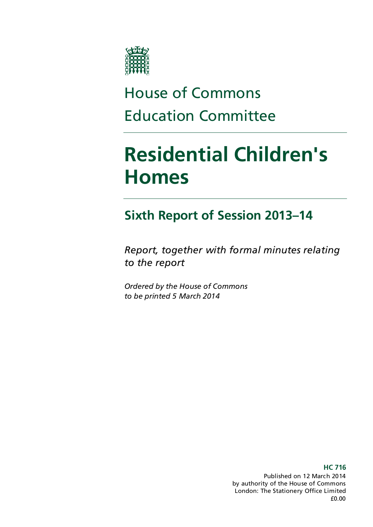

# House of Commons Education Committee

# **Residential Children's Homes**

### **Sixth Report of Session 2013–14**

*Report, together with formal minutes relating to the report*

*Ordered by the House of Commons to be printed 5 March 2014*

> Published on 12 March 2014 by authority of the House of Commons London: The Stationery Office Limited £0.00

#### **HC 716**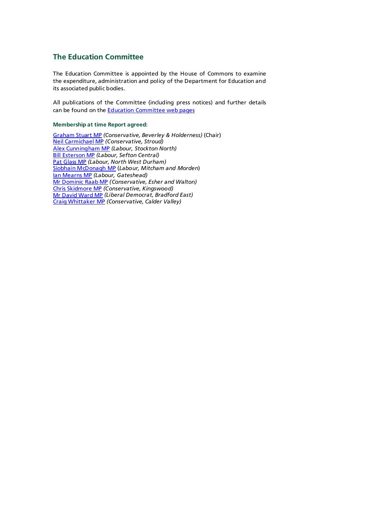### **The Education Committee**

The Education Committee is appointed by the House of Commons to examine the expenditure, administration and policy of the Department for Education and its associated public bodies.

All publications of the Committee (including press notices) and further details can be found on the **Education Committee web pages** 

#### **Membership at time Report agreed:**

[Graham Stuart MP](http://www.parliament.uk/biographies/commons/mr-graham-stuart/1482) *(Conservative, Beverley & Holderness)* (Chair) [Neil Carmichael MP](http://www.parliament.uk/biographies/commons/neil-carmichael/4104) *(Conservative, Stroud)* [Alex Cunningham MP](http://www.parliament.uk/biographies/commons/alex-cunningham/4122) *(Labour, Stockton North)* [Bill Esterson MP](http://www.parliament.uk/biographies/commons/bill-esterson/4061) *(Labour, Sefton Central)* [Pat Glass MP](http://www.parliament.uk/biographies/commons/pat-glass/4103) *(Labour, North West Durham)* [Siobhain McDonagh MP](http://www.parliament.uk/biographies/commons/siobhain-mcdonagh/193) (*Labour, Mitcham and Morden*) [Ian Mearns MP](http://www.parliament.uk/biographies/commons/ian-mearns/4000) *(Labour, Gateshead)* [Mr Dominic Raab MP](http://www.parliament.uk/biographies/commons/mr-dominic-raab/4007) *(Conservative, Esher and Walton)* [Chris Skidmore MP](http://www.parliament.uk/biographies/commons/chris-skidmore/4021) *(Conservative, Kingswood)* [Mr David Ward MP](http://www.parliament.uk/biographies/commons/mr-david-ward/3923) *(Liberal Democrat, Bradford East)* [Craig Whittaker MP](http://www.parliament.uk/biographies/commons/craig-whittaker/3940) *(Conservative, Calder Valley)*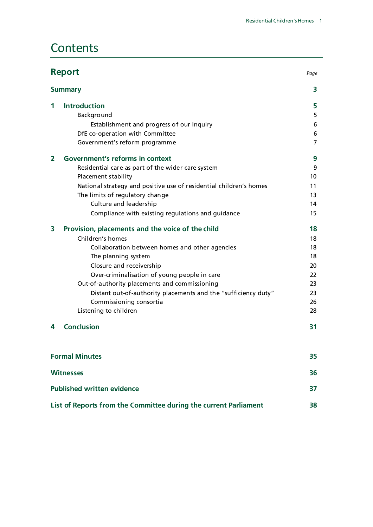### **Contents**

| <b>Report</b><br><b>Summary</b>   |                                                                    | Page           |
|-----------------------------------|--------------------------------------------------------------------|----------------|
|                                   |                                                                    | 3              |
| 1                                 | <b>Introduction</b>                                                | 5              |
|                                   | Background                                                         | 5              |
|                                   | Establishment and progress of our Inquiry                          | 6              |
|                                   | DfE co-operation with Committee                                    | 6              |
|                                   | Government's reform programme                                      | $\overline{7}$ |
| $\overline{\mathbf{2}}$           | <b>Government's reforms in context</b>                             | 9              |
|                                   | Residential care as part of the wider care system                  | 9              |
|                                   | Placement stability                                                | 10             |
|                                   | National strategy and positive use of residential children's homes | 11             |
|                                   | The limits of regulatory change                                    | 13             |
|                                   | Culture and leadership                                             | 14             |
|                                   | Compliance with existing regulations and guidance                  | 15             |
| 3                                 | Provision, placements and the voice of the child                   | 18             |
|                                   | Children's homes                                                   | 18             |
|                                   | Collaboration between homes and other agencies                     | 18             |
|                                   | The planning system                                                | 18             |
|                                   | Closure and receivership                                           | 20             |
|                                   | Over-criminalisation of young people in care                       | 22             |
|                                   | Out-of-authority placements and commissioning                      | 23             |
|                                   | Distant out-of-authority placements and the "sufficiency duty"     | 23             |
|                                   | Commissioning consortia                                            | 26             |
|                                   | Listening to children                                              | 28             |
| 4                                 | <b>Conclusion</b>                                                  | 31             |
|                                   | <b>Formal Minutes</b>                                              | 35             |
| <b>Witnesses</b>                  |                                                                    | 36             |
| <b>Published written evidence</b> |                                                                    | 37             |

**[List of Reports from the Committee during the current Parliament](#page-41-0) 38**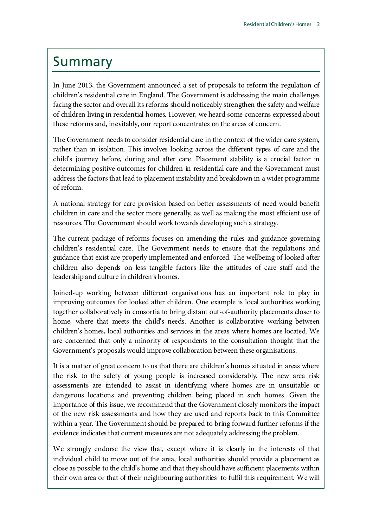### <span id="page-6-0"></span>Summary

In June 2013, the Government announced a set of proposals to reform the regulation of children's residential care in England. The Government is addressing the main challenges facing the sector and overall its reforms should noticeably strengthen the safety and welfare of children living in residential homes. However, we heard some concerns expressed about these reforms and, inevitably, our report concentrates on the areas of concern.

The Government needs to consider residential care in the context of the wider care system, rather than in isolation. This involves looking across the different types of care and the child's journey before, during and after care. Placement stability is a crucial factor in determining positive outcomes for children in residential care and the Government must address the factors that lead to placement instability and breakdown in a wider programme of reform.

A national strategy for care provision based on better assessments of need would benefit children in care and the sector more generally, as well as making the most efficient use of resources. The Government should work towards developing such a strategy.

The current package of reforms focuses on amending the rules and guidance governing children's residential care. The Government needs to ensure that the regulations and guidance that exist are properly implemented and enforced. The wellbeing of looked after children also depends on less tangible factors like the attitudes of care staff and the leadership and culture in children's homes.

Joined-up working between different organisations has an important role to play in improving outcomes for looked after children. One example is local authorities working together collaboratively in consortia to bring distant out-of-authority placements closer to home, where that meets the child's needs. Another is collaborative working between children's homes, local authorities and services in the areas where homes are located. We are concerned that only a minority of respondents to the consultation thought that the Government's proposals would improve collaboration between these organisations.

It is a matter of great concern to us that there are children's homes situated in areas where the risk to the safety of young people is increased considerably. The new area risk assessments are intended to assist in identifying where homes are in unsuitable or dangerous locations and preventing children being placed in such homes. Given the importance of this issue, we recommend that the Government closely monitors the impact of the new risk assessments and how they are used and reports back to this Committee within a year. The Government should be prepared to bring forward further reforms if the evidence indicates that current measures are not adequately addressing the problem.

We strongly endorse the view that, except where it is clearly in the interests of that individual child to move out of the area, local authorities should provide a placement as close as possible to the child's home and that they should have sufficient placements within their own area or that of their neighbouring authorities to fulfil this requirement. We will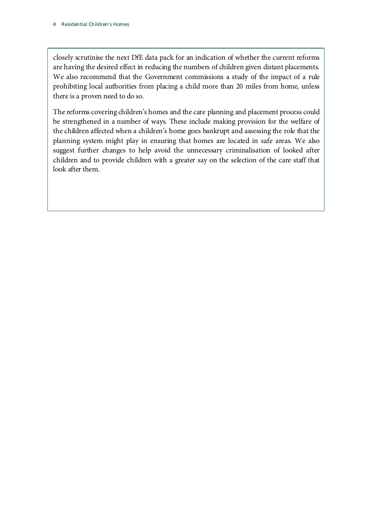closely scrutinise the next DfE data pack for an indication of whether the current reforms are having the desired effect in reducing the numbers of children given distant placements. We also recommend that the Government commissions a study of the impact of a rule prohibiting local authorities from placing a child more than 20 miles from home, unless there is a proven need to do so.

The reforms covering children's homes and the care planning and placement process could be strengthened in a number of ways. These include making provision for the welfare of the children affected when a children's home goes bankrupt and assessing the role that the planning system might play in ensuring that homes are located in safe areas. We also suggest further changes to help avoid the unnecessary criminalisation of looked after children and to provide children with a greater say on the selection of the care staff that look after them.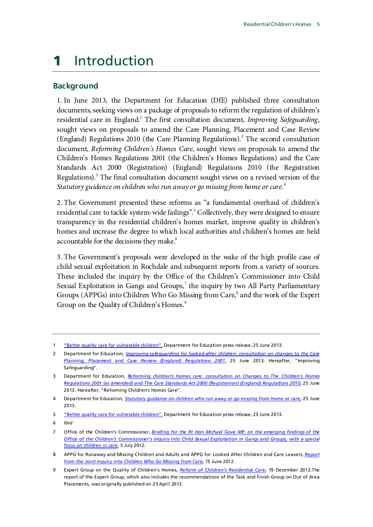### <span id="page-8-0"></span>1 Introduction

### <span id="page-8-1"></span>**Background**

1. In June 2013, the Department for Education (DfE) published three consultation documents, seeking views on a package of proposals to reform the regulation of children's residential care in England.<sup>[1](#page-8-2)</sup> The first consultation document, *Improving Safeguarding*, sought views on proposals to amend the Care Planning, Placement and Case Review (England) Regulations  $2010$  $2010$  (the Care Planning Regulations).<sup>2</sup> The second consultation document, *Reforming Children's Homes Care*, sought views on proposals to amend the Children's Homes Regulations 2001 (the Children's Homes Regulations) and the Care Standards Act 2000 (Registration) (England) Regulations 2010 (the Registration Regulations).<sup>[3](#page-8-4)</sup> The final consultation document sought views on a revised version of the *Statutory guidance on children who run away or go missing from home or care*. [4](#page-8-5)

2. The Government presented these reforms as "a fundamental overhaul of children's residential care to tackle system-wide failings".<sup>[5](#page-8-6)</sup> Collectively, they were designed to ensure transparency in the residential children's homes market, improve quality in children's homes and increase the degree to which local authorities and children's homes are held accountable for the decisions they make.<sup>6</sup>

3. The Government's proposals were developed in the wake of the high profile case of child sexual exploitation in Rochdale and subsequent reports from a variety of sources. These included the inquiry by the Office of the Children's Commissioner into Child Sexual Exploitation in Gangs and Groups, $^7$  $^7$  the inquiry by two All Party Parliamentary Groups (APPGs) into Children Who Go Missing from Care,<sup>[8](#page-8-9)</sup> and the work of the Expert Group on the Quality of Children's Homes.<sup>[9](#page-8-10)</sup>

<sup>1</sup> ["Better quality care for vulnerable children",](https://www.gov.uk/government/news/better-quality-care-for-vulnerable-children) Department for Education press release, 25 June 2013.

<span id="page-8-3"></span><span id="page-8-2"></span><sup>2</sup> Department for Education*, [Improving safeguarding for looked-after children: consultation on changes to the Care](https://www.gov.uk/government/uploads/system/uploads/attachment_data/file/223491/Improving_safeguarding_for_looked_after_children_consultation_document.pdf)  [Planning, Placement and Case Review \(England\) Regulations 2001](https://www.gov.uk/government/uploads/system/uploads/attachment_data/file/223491/Improving_safeguarding_for_looked_after_children_consultation_document.pdf)*, 25 June 2013. Hereafter, "Improving Safeguarding".

<span id="page-8-4"></span><sup>3</sup> Department for Education, *[Reforming children's homes care: consultation on Changes to The Children's Homes](https://www.gov.uk/government/uploads/system/uploads/attachment_data/file/208524/Reforming_children_s_homes_care_-_consultation_document.pdf)  [Regulations 2001 \(as amended\) and The Care Standards Act 2000 \(Registration\) \(England\) Regulations 2010](https://www.gov.uk/government/uploads/system/uploads/attachment_data/file/208524/Reforming_children_s_homes_care_-_consultation_document.pdf)*, 25 June 2013. Hereafter, "Reforming Children's Homes Care".

<span id="page-8-5"></span><sup>4</sup> Department for Education, *[Statutory guidance on children who run away or go missing from home or care,](https://www.gov.uk/government/uploads/system/uploads/attachment_data/file/208527/Statutory_guidance_on_children_who_run_away_or_go_missing_from_home_or_care_-_Consultation_document.pdf)* 25 June 2013.

<span id="page-8-6"></span><sup>5</sup> ["Better quality care for vulnerable children",](https://www.gov.uk/government/news/better-quality-care-for-vulnerable-children) Department for Education press release, 25 June 2013.

<span id="page-8-7"></span><sup>6</sup> *Ibid*

<span id="page-8-8"></span><sup>7</sup> Office of the Children's Commissioner, *Briefing for the Rt [Hon Michael Gove MP, on the emerging findings of the](http://www.childrenscommissioner.gov.uk/content/publications/content_580)  Office of the Children's Commissioner's Inquiry into Child Sexual Exploitation in Gangs and Groups, with a special [focus on children in care](http://www.childrenscommissioner.gov.uk/content/publications/content_580)*, 3 July 2012.

<span id="page-8-9"></span><sup>8</sup> APPG for Runaway and Missing Children and Adults and APPG for Looked After Children and Care Leavers, *[Report](https://www.gov.uk/government/publications/report-from-the-joint-inquiry-into-children-who-go-missing-from-care)  [from the Joint Inquiry into Children Who Go Missing from Care](https://www.gov.uk/government/publications/report-from-the-joint-inquiry-into-children-who-go-missing-from-care)*, 15 June 2012.

<span id="page-8-10"></span><sup>9</sup> Expert Group on the Quality of Children's Homes, *[Reform of Children's Residential Care](http://media.education.gov.uk/assets/files/pdf/c/childrens%20homes%20reform%20quality%20group%20%20%20final%20report.pdf)*, 19 December 2012.The report of the Expert Group, which also includes the recommendations of the Task and Finish Group on Out of Area Placements, was originally published on 23 April 2013.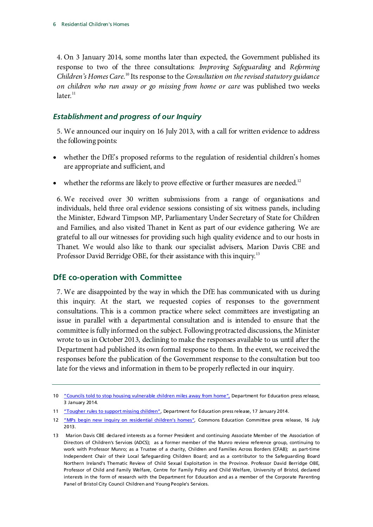4. On 3 January 2014, some months later than expected, the Government published its response to two of the three consultations: *Improving Safeguarding* and *Reforming*  Children's Homes Care.<sup>[10](#page-9-2)</sup> Its response to the *Consultation on the revised statutory guidance on children who run away or go missing from home or care* was published two weeks  $later<sup>11</sup>$  $later<sup>11</sup>$  $later<sup>11</sup>$ 

### <span id="page-9-0"></span>*Establishment and progress of our Inquiry*

5. We announced our inquiry on 16 July 2013, with a call for written evidence to address the following points:

- whether the DfE's proposed reforms to the regulation of residential children's homes are appropriate and sufficient, and
- whether the reforms are likely to prove effective or further measures are needed.<sup>[12](#page-9-4)</sup>

6. We received over 30 written submissions from a range of organisations and individuals, held three oral evidence sessions consisting of six witness panels, including the Minister, Edward Timpson MP, Parliamentary Under Secretary of State for Children and Families, and also visited Thanet in Kent as part of our evidence gathering. We are grateful to all our witnesses for providing such high quality evidence and to our hosts in Thanet. We would also like to thank our specialist advisers, Marion Davis CBE and Professor David Berridge OBE, for their assistance with this inquiry.<sup>[13](#page-9-5)</sup>

### <span id="page-9-1"></span>**DfE co-operation with Committee**

7. We are disappointed by the way in which the DfE has communicated with us during this inquiry. At the start, we requested copies of responses to the government consultations. This is a common practice where select committees are investigating an issue in parallel with a departmental consultation and is intended to ensure that the committee is fully informed on the subject. Following protracted discussions, the Minister wrote to us in October 2013, declining to make the responses available to us until after the Department had published its own formal response to them. In the event, we received the responses before the publication of the Government response to the consultation but too late for the views and information in them to be properly reflected in our inquiry.

<span id="page-9-2"></span><sup>10</sup> ["Councils told to stop housing vulnerable children miles away from home",](https://www.gov.uk/government/news/councils-told-to-stop-housing-vulnerable-children-miles-away-from-home) Department for Education press release, 3 January 2014.

<span id="page-9-3"></span><sup>11</sup> ["Tougher rules to support missing children",](https://www.gov.uk/government/news/tougher-rules-to-support-missing-children) Department for Education press release, 17 January 2014.

<span id="page-9-4"></span><sup>12</sup> ["MPs begin new inquiry on residential children's homes",](http://www.parliament.uk/business/committees/committees-a-z/commons-select/education-committee/news/residential-childrens-homes-new-inquiry/) Commons Education Committee press release, 16 July 2013.

<span id="page-9-5"></span><sup>13</sup> Marion Davis CBE declared interests as a former President and continuing Associate Member of the Association of Directors of Children's Services (ADCS); as a former member of the Munro review reference group, continuing to work with Professor Munro; as a Trustee of a charity, Children and Families Across Borders (CFAB); as part-time Independent Chair of their Local Safeguarding Children Board; and as a contributor to the Safeguarding Board Northern Ireland's Thematic Review of Child Sexual Exploitation in the Province. Professor David Berridge OBE, Professor of Child and Family Welfare, Centre for Family Policy and Child Welfare, University of Bristol, declared interests in the form of research with the Department for Education and as a member of the Corporate Parenting Panel of Bristol City Council Children and Young People's Services.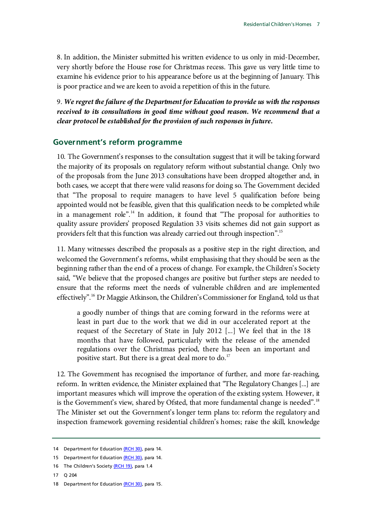8. In addition, the Minister submitted his written evidence to us only in mid-December, very shortly before the House rose for Christmas recess. This gave us very little time to examine his evidence prior to his appearance before us at the beginning of January. This is poor practice and we are keen to avoid a repetition of this in the future.

9. *We regret the failure of the Department for Education to provide us with the responses received to its consultations in good time without good reason. We recommend that a clear protocol be established for the provision of such responses in future.*

### <span id="page-10-0"></span>**Government's reform programme**

10. The Government's responses to the consultation suggest that it will be taking forward the majority of its proposals on regulatory reform without substantial change. Only two of the proposals from the June 2013 consultations have been dropped altogether and, in both cases, we accept that there were valid reasons for doing so. The Government decided that "The proposal to require managers to have level 5 qualification before being appointed would not be feasible, given that this qualification needs to be completed while in a management role".<sup>[14](#page-10-1)</sup> In addition, it found that "The proposal for authorities to quality assure providers' proposed Regulation 33 visits schemes did not gain support as providers felt that this function was already carried out through inspection".[15](#page-10-2)

11. Many witnesses described the proposals as a positive step in the right direction, and welcomed the Government's reforms, whilst emphasising that they should be seen as the beginning rather than the end of a process of change. For example, the Children's Society said, "We believe that the proposed changes are positive but further steps are needed to ensure that the reforms meet the needs of vulnerable children and are implemented effectively".[16](#page-10-3) Dr Maggie Atkinson, the Children's Commissioner for England, told us that

a goodly number of things that are coming forward in the reforms were at least in part due to the work that we did in our accelerated report at the request of the Secretary of State in July 2012 [...] We feel that in the 18 months that have followed, particularly with the release of the amended regulations over the Christmas period, there has been an important and positive start. But there is a great deal more to do. $17$ 

12. The Government has recognised the importance of further, and more far-reaching, reform. In written evidence, the Minister explained that "The Regulatory Changes [...] are important measures which will improve the operation of the existing system. However, it is the Government's view, shared by Ofsted, that more fundamental change is needed".<sup>[18](#page-10-5)</sup> The Minister set out the Government's longer term plans to: reform the regulatory and inspection framework governing residential children's homes; raise the skill, knowledge

<span id="page-10-1"></span><sup>14</sup> Department for Educatio[n \(RCH 30\),](http://data.parliament.uk/writtenevidence/WrittenEvidence.svc/EvidenceHtml/4806) para 14.

<span id="page-10-2"></span><sup>15</sup> Department for Educatio[n \(RCH 30\),](http://data.parliament.uk/writtenevidence/WrittenEvidence.svc/EvidenceHtml/4806) para 14.

<span id="page-10-3"></span><sup>16</sup> The Children's Societ[y \(RCH 19\),](http://data.parliament.uk/writtenevidence/WrittenEvidence.svc/EvidenceHtml/3479) para 1.4

<span id="page-10-4"></span><sup>17</sup> Q 204

<span id="page-10-5"></span><sup>18</sup> Department for Educatio[n \(RCH 30\),](http://data.parliament.uk/writtenevidence/WrittenEvidence.svc/EvidenceHtml/4806) para 15.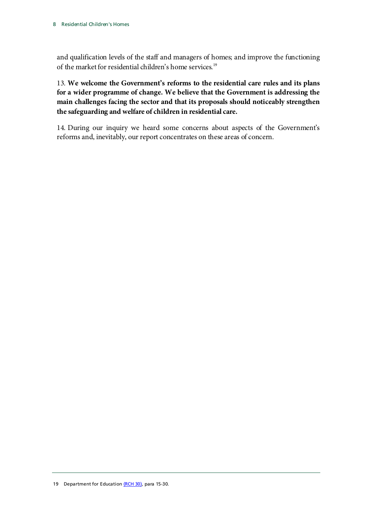and qualification levels of the staff and managers of homes; and improve the functioning of the market for residential children's home services.<sup>[19](#page-11-0)</sup>

13. **We welcome the Government's reforms to the residential care rules and its plans for a wider programme of change. We believe that the Government is addressing the main challenges facing the sector and that its proposals should noticeably strengthen the safeguarding and welfare of children in residential care.**

<span id="page-11-0"></span>14. During our inquiry we heard some concerns about aspects of the Government's reforms and, inevitably, our report concentrates on these areas of concern.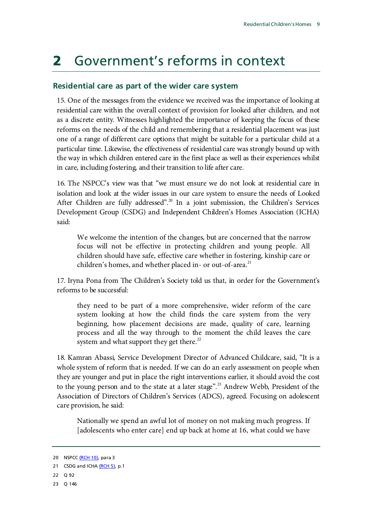## <span id="page-12-0"></span>2 Government's reforms in context

### <span id="page-12-1"></span>**Residential care as part of the wider care system**

15. One of the messages from the evidence we received was the importance of looking at residential care within the overall context of provision for looked after children, and not as a discrete entity. Witnesses highlighted the importance of keeping the focus of these reforms on the needs of the child and remembering that a residential placement was just one of a range of different care options that might be suitable for a particular child at a particular time. Likewise, the effectiveness of residential care was strongly bound up with the way in which children entered care in the first place as well as their experiences whilst in care, including fostering, and their transition to life after care.

16. The NSPCC's view was that "we must ensure we do not look at residential care in isolation and look at the wider issues in our care system to ensure the needs of Looked After Children are fully addressed".<sup>[20](#page-12-2)</sup> In a joint submission, the Children's Services Development Group (CSDG) and Independent Children's Homes Association (ICHA) said:

We welcome the intention of the changes, but are concerned that the narrow focus will not be effective in protecting children and young people. All children should have safe, effective care whether in fostering, kinship care or children's homes, and whether placed in- or out-of-area. $^{21}$  $^{21}$  $^{21}$ 

17. Iryna Pona from The Children's Society told us that, in order for the Government's reforms to be successful:

they need to be part of a more comprehensive, wider reform of the care system looking at how the child finds the care system from the very beginning, how placement decisions are made, quality of care, learning process and all the way through to the moment the child leaves the care system and what support they get there.<sup>[22](#page-12-4)</sup>

18. Kamran Abassi, Service Development Director of Advanced Childcare, said, "It is a whole system of reform that is needed. If we can do an early assessment on people when they are younger and put in place the right interventions earlier, it should avoid the cost to the young person and to the state at a later stage".<sup>[23](#page-12-5)</sup> Andrew Webb, President of the Association of Directors of Children's Services (ADCS), agreed. Focusing on adolescent care provision, he said:

Nationally we spend an awful lot of money on not making much progress. If [adolescents who enter care] end up back at home at 16, what could we have

<span id="page-12-2"></span><sup>20</sup> NSPC[C \(RCH 10\),](http://data.parliament.uk/writtenevidence/WrittenEvidence.svc/EvidenceHtml/2292) para 3

<span id="page-12-3"></span><sup>21</sup> CSDG and ICH[A \(RCH 5\),](http://data.parliament.uk/writtenevidence/WrittenEvidence.svc/EvidenceHtml/2292) p.1

<span id="page-12-4"></span><sup>22</sup> Q 92

<span id="page-12-5"></span><sup>23</sup> Q 146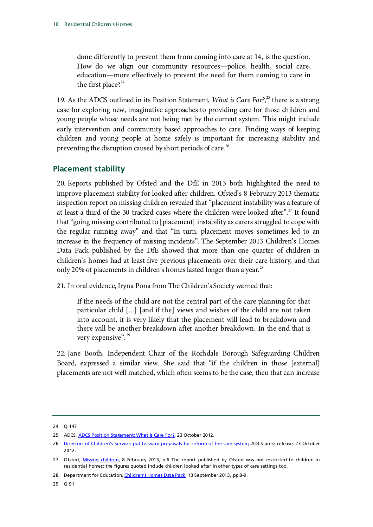done differently to prevent them from coming into care at 14, is the question. How do we align our community resources—police, health, social care, education—more effectively to prevent the need for them coming to care in the first place?<sup>[24](#page-13-1)</sup>

19. As the ADCS outlined in its Position Statement, *What is Care For?*, [25](#page-13-2) there is a strong case for exploring new, imaginative approaches to providing care for those children and young people whose needs are not being met by the current system. This might include early intervention and community based approaches to care. Finding ways of keeping children and young people at home safely is important for increasing stability and preventing the disruption caused by short periods of care.<sup>[26](#page-13-3)</sup>

### <span id="page-13-0"></span>**Placement stability**

20. Reports published by Ofsted and the DfE in 2013 both highlighted the need to improve placement stability for looked after children. Ofsted's 8 February 2013 thematic inspection report on missing children revealed that "placement instability was a feature of at least a third of the 30 tracked cases where the children were looked after".<sup>[27](#page-13-4)</sup> It found that "going missing contributed to [placement] instability as carers struggled to cope with the regular running away" and that "In turn, placement moves sometimes led to an increase in the frequency of missing incidents". The September 2013 Children's Homes Data Pack published by the DfE showed that more than one quarter of children in children's homes had at least five previous placements over their care history, and that only 20% of placements in children's homes lasted longer than a year.<sup>[28](#page-13-5)</sup>

21. In oral evidence, Iryna Pona from The Children's Society warned that:

If the needs of the child are not the central part of the care planning for that particular child [...] [and if the] views and wishes of the child are not taken into account, it is very likely that the placement will lead to breakdown and there will be another breakdown after another breakdown. In the end that is very expensive".<sup>[29](#page-13-6)</sup>

22. Jane Booth, Independent Chair of the Rochdale Borough Safeguarding Children Board, expressed a similar view. She said that "if the children in those [external] placements are not well matched, which often seems to be the case, then that can increase

<span id="page-13-6"></span>29 Q 91

<span id="page-13-1"></span><sup>24</sup> Q 147

<span id="page-13-2"></span><sup>25</sup> ADCS, [ADCS Position Statement: What is Care For?,](http://www.adcs.org.uk/download/position-statements/2012/ADCS%20Position%20Statement%20What%20is%20care%20for.pdf) 23 October 2012.

<span id="page-13-3"></span><sup>26</sup> [Directors of Children's Services put forward proposals for reform of the care system,](http://www.adcs.org.uk/download/press-release/2012/ADCS%20PR%20what%20is%20care%20for.pdf) ADCS press release, 23 October 2012.

<span id="page-13-4"></span><sup>27</sup> Ofsted, [Missing children,](http://www.ofsted.gov.uk/resources/missing-children) 8 February 2013, p.6 The report published by Ofsted was not restricted to children in residential homes; the figures quoted include children looked after in other types of care settings too.

<span id="page-13-5"></span><sup>28</sup> Department for Education[, Children's Homes Data Pack,](https://www.gov.uk/government/uploads/system/uploads/attachment_data/file/265944/childrens_homes_data_pack_2013.pdf) 13 September 2013, pp.8-9.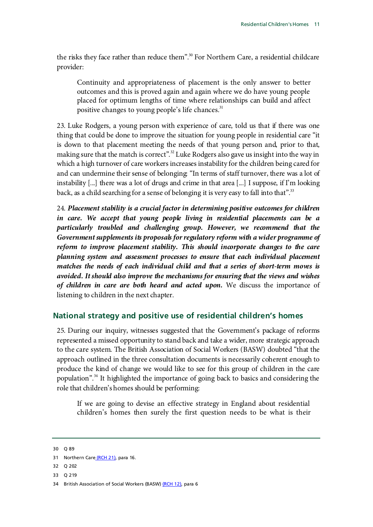the risks they face rather than reduce them".<sup>[30](#page-14-1)</sup> For Northern Care, a residential childcare provider:

Continuity and appropriateness of placement is the only answer to better outcomes and this is proved again and again where we do have young people placed for optimum lengths of time where relationships can build and affect positive changes to young people's life chances.<sup>31</sup>

23. Luke Rodgers, a young person with experience of care, told us that if there was one thing that could be done to improve the situation for young people in residential care "it is down to that placement meeting the needs of that young person and, prior to that, making sure that the match is correct".<sup>[32](#page-14-3)</sup> Luke Rodgers also gave us insight into the way in which a high turnover of care workers increases instability for the children being cared for and can undermine their sense of belonging: "In terms of staff turnover, there was a lot of instability [...] there was a lot of drugs and crime in that area [...] I suppose, if I'm looking back, as a child searching for a sense of belonging it is very easy to fall into that".<sup>[33](#page-14-4)</sup>

24. *Placement stability is a crucial factor in determining positive outcomes for children in care. We accept that young people living in residential placements can be a particularly troubled and challenging group. However, we recommend that the Government supplements its proposals for regulatory reform with a wider programme of reform to improve placement stability. This should incorporate changes to the care planning system and assessment processes to ensure that each individual placement matches the needs of each individual child and that a series of short-term moves is avoided. It should also improve the mechanisms for ensuring that the views and wishes of children in care are both heard and acted upon.* We discuss the importance of listening to children in the next chapter.

### <span id="page-14-0"></span>**National strategy and positive use of residential children's homes**

25. During our inquiry, witnesses suggested that the Government's package of reforms represented a missed opportunity to stand back and take a wider, more strategic approach to the care system. The British Association of Social Workers (BASW) doubted "that the approach outlined in the three consultation documents is necessarily coherent enough to produce the kind of change we would like to see for this group of children in the care population".<sup>[34](#page-14-5)</sup> It highlighted the importance of going back to basics and considering the role that children's homes should be performing:

If we are going to devise an effective strategy in England about residential children's homes then surely the first question needs to be what is their

<span id="page-14-1"></span>30 Q 89

- <span id="page-14-3"></span>32 Q 202
- <span id="page-14-4"></span>33 Q 219

<span id="page-14-2"></span><sup>31</sup> Northern Care [\(RCH 21\),](http://data.parliament.uk/writtenevidence/WrittenEvidence.svc/EvidenceHtml/3873) para 16.

<span id="page-14-5"></span><sup>34</sup> British Association of Social Workers (BASW[\) \(RCH 12\),](http://data.parliament.uk/writtenevidence/WrittenEvidence.svc/EvidenceHtml/2295) para 6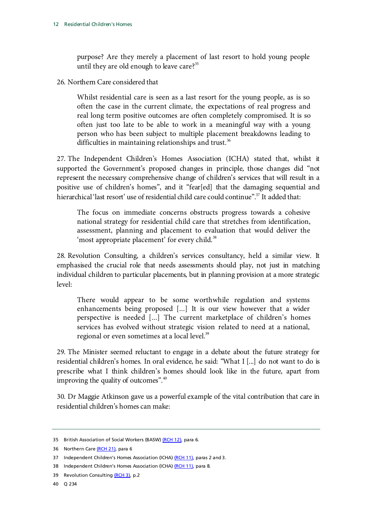purpose? Are they merely a placement of last resort to hold young people until they are old enough to leave care? $35$ 

26. Northern Care considered that

Whilst residential care is seen as a last resort for the young people, as is so often the case in the current climate, the expectations of real progress and real long term positive outcomes are often completely compromised. It is so often just too late to be able to work in a meaningful way with a young person who has been subject to multiple placement breakdowns leading to difficulties in maintaining relationships and trust.<sup>[36](#page-15-1)</sup>

27. The Independent Children's Homes Association (ICHA) stated that, whilst it supported the Government's proposed changes in principle, those changes did "not represent the necessary comprehensive change of children's services that will result in a positive use of children's homes", and it "fear[ed] that the damaging sequential and hierarchical 'last resort' use of residential child care could continue".<sup>37</sup> It added that:

The focus on immediate concerns obstructs progress towards a cohesive national strategy for residential child care that stretches from identification, assessment, planning and placement to evaluation that would deliver the 'most appropriate placement' for every child.<sup>[38](#page-15-3)</sup>

28. Revolution Consulting, a children's services consultancy, held a similar view. It emphasised the crucial role that needs assessments should play, not just in matching individual children to particular placements, but in planning provision at a more strategic level:

There would appear to be some worthwhile regulation and systems enhancements being proposed [...] It is our view however that a wider perspective is needed [...] The current marketplace of children's homes services has evolved without strategic vision related to need at a national, regional or even sometimes at a local level.<sup>39</sup>

29. The Minister seemed reluctant to engage in a debate about the future strategy for residential children's homes. In oral evidence, he said: "What I [...] do not want to do is prescribe what I think children's homes should look like in the future, apart from improving the quality of outcomes".[40](#page-15-5)

30. Dr Maggie Atkinson gave us a powerful example of the vital contribution that care in residential children's homes can make:

<span id="page-15-0"></span><sup>35</sup> British Association of Social Workers (BASW[\) \(RCH 12\),](http://data.parliament.uk/writtenevidence/WrittenEvidence.svc/EvidenceHtml/2295) para 6.

<span id="page-15-1"></span><sup>36</sup> Northern Car[e \(RCH 21\),](http://data.parliament.uk/writtenevidence/WrittenEvidence.svc/EvidenceHtml/3873) para 6

<span id="page-15-2"></span><sup>37</sup> Independent Children's Homes Association (ICHA[\) \(RCH 11\),](http://data.parliament.uk/writtenevidence/WrittenEvidence.svc/EvidenceHtml/2294) paras 2 and 3.

<span id="page-15-3"></span><sup>38</sup> Independent Children's Homes Association (ICHA[\) \(RCH 11\),](http://data.parliament.uk/writtenevidence/WrittenEvidence.svc/EvidenceHtml/2294) para 8.

<span id="page-15-4"></span><sup>39</sup> Revolution Consultin[g \(RCH 3\),](http://data.parliament.uk/writtenevidence/WrittenEvidence.svc/EvidenceHtml/2280) p.2

<span id="page-15-5"></span><sup>40</sup> Q 234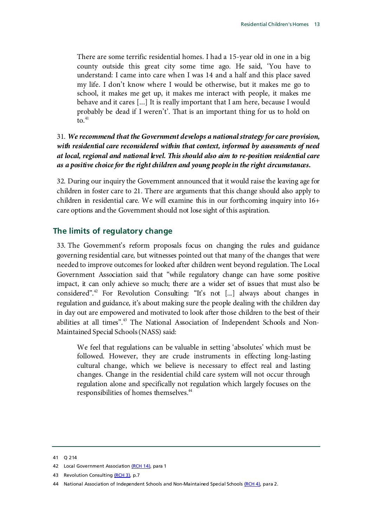There are some terrific residential homes. I had a 15-year old in one in a big county outside this great city some time ago. He said, 'You have to understand: I came into care when I was 14 and a half and this place saved my life. I don't know where I would be otherwise, but it makes me go to school, it makes me get up, it makes me interact with people, it makes me behave and it cares [...] It is really important that I am here, because I would probably be dead if I weren't'. That is an important thing for us to hold on to. $41$ 

### 31. *We recommend that the Government develops a national strategy for care provision, with residential care reconsidered within that context, informed by assessments of need at local, regional and national level. This should also aim to re-position residential care as a positive choice for the right children and young people in the right circumstances.*

32. During our inquiry the Government announced that it would raise the leaving age for children in foster care to 21. There are arguments that this change should also apply to children in residential care. We will examine this in our forthcoming inquiry into 16+ care options and the Government should not lose sight of this aspiration.

### <span id="page-16-0"></span>**The limits of regulatory change**

33. The Government's reform proposals focus on changing the rules and guidance governing residential care, but witnesses pointed out that many of the changes that were needed to improve outcomes for looked after children went beyond regulation. The Local Government Association said that "while regulatory change can have some positive impact, it can only achieve so much; there are a wider set of issues that must also be considered".[42](#page-16-2) For Revolution Consulting: "It's not [...] always about changes in regulation and guidance, it's about making sure the people dealing with the children day in day out are empowered and motivated to look after those children to the best of their abilities at all times".[43](#page-16-3) The National Association of Independent Schools and Non-Maintained Special Schools (NASS) said:

We feel that regulations can be valuable in setting 'absolutes' which must be followed. However, they are crude instruments in effecting long-lasting cultural change, which we believe is necessary to effect real and lasting changes. Change in the residential child care system will not occur through regulation alone and specifically not regulation which largely focuses on the responsibilities of homes themselves.<sup>44</sup>

<span id="page-16-1"></span><sup>41</sup> Q 214

<span id="page-16-2"></span><sup>42</sup> Local Government Associatio[n \(RCH 14\),](http://data.parliament.uk/writtenevidence/WrittenEvidence.svc/EvidenceHtml/2280) para 1

<span id="page-16-3"></span><sup>43</sup> Revolution Consultin[g \(RCH 3\),](http://data.parliament.uk/writtenevidence/WrittenEvidence.svc/EvidenceHtml/2280) p.7

<span id="page-16-4"></span><sup>44</sup> National Association of Independent Schools and Non-Maintained Special School[s \(RCH 4\),](http://data.parliament.uk/writtenevidence/WrittenEvidence.svc/EvidenceHtml/2283) para 2.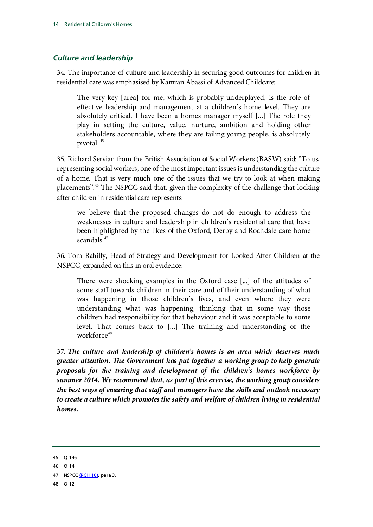### <span id="page-17-0"></span>*Culture and leadership*

34. The importance of culture and leadership in securing good outcomes for children in residential care was emphasised by Kamran Abassi of Advanced Childcare:

The very key [area] for me, which is probably underplayed, is the role of effective leadership and management at a children's home level. They are absolutely critical. I have been a homes manager myself [...] The role they play in setting the culture, value, nurture, ambition and holding other stakeholders accountable, where they are failing young people, is absolutely pivotal. [45](#page-17-1)

35. Richard Servian from the British Association of Social Workers (BASW) said: "To us, representing social workers, one of the most important issues is understanding the culture of a home. That is very much one of the issues that we try to look at when making placements".[46](#page-17-2) The NSPCC said that, given the complexity of the challenge that looking after children in residential care represents:

we believe that the proposed changes do not do enough to address the weaknesses in culture and leadership in children's residential care that have been highlighted by the likes of the Oxford, Derby and Rochdale care home scandals.<sup>[47](#page-17-3)</sup>

36. Tom Rahilly, Head of Strategy and Development for Looked After Children at the NSPCC, expanded on this in oral evidence:

There were shocking examples in the Oxford case [...] of the attitudes of some staff towards children in their care and of their understanding of what was happening in those children's lives, and even where they were understanding what was happening, thinking that in some way those children had responsibility for that behaviour and it was acceptable to some level. That comes back to [...] The training and understanding of the workforce<sup>[48](#page-17-4)</sup>

37. *The culture and leadership of children's homes is an area which deserves much greater attention. The Government has put together a working group to help generate proposals for the training and development of the children's homes workforce by summer 2014. We recommend that, as part of this exercise, the working group considers the best ways of ensuring that staff and managers have the skills and outlook necessary to create a culture which promotes the safety and welfare of children living in residential homes.*

<span id="page-17-1"></span><sup>45</sup> Q 146

<span id="page-17-2"></span><sup>46</sup> Q 14

<span id="page-17-4"></span><span id="page-17-3"></span><sup>47</sup> NSPC[C \(RCH 10\),](http://data.parliament.uk/writtenevidence/WrittenEvidence.svc/EvidenceHtml/2292) para 3.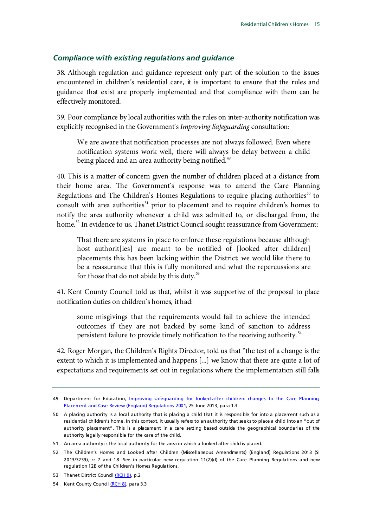### <span id="page-18-0"></span>*Compliance with existing regulations and guidance*

38. Although regulation and guidance represent only part of the solution to the issues encountered in children's residential care, it is important to ensure that the rules and guidance that exist are properly implemented and that compliance with them can be effectively monitored.

39. Poor compliance by local authorities with the rules on inter-authority notification was explicitly recognised in the Government's *Improving Safeguarding* consultation:

We are aware that notification processes are not always followed. Even where notification systems work well, there will always be delay between a child being placed and an area authority being notified.<sup>[49](#page-18-1)</sup>

40. This is a matter of concern given the number of children placed at a distance from their home area. The Government's response was to amend the Care Planning Regulations and The Children's Homes Regulations to require placing authorities<sup>[50](#page-18-2)</sup> to consult with area authorities<sup>[51](#page-18-3)</sup> prior to placement and to require children's homes to notify the area authority whenever a child was admitted to, or discharged from, the home.<sup>[52](#page-18-4)</sup> In evidence to us, Thanet District Council sought reassurance from Government:

That there are systems in place to enforce these regulations because although host authorit [ies] are meant to be notified of [looked after children] placements this has been lacking within the District; we would like there to be a reassurance that this is fully monitored and what the repercussions are for those that do not abide by this duty. $53$ 

41. Kent County Council told us that, whilst it was supportive of the proposal to place notification duties on children's homes, it had:

some misgivings that the requirements would fail to achieve the intended outcomes if they are not backed by some kind of sanction to address persistent failure to provide timely notification to the receiving authority.<sup>[54](#page-18-6)</sup>

42. Roger Morgan, the Children's Rights Director, told us that "the test of a change is the extent to which it is implemented and happens [...] we know that there are quite a lot of expectations and requirements set out in regulations where the implementation still falls

<span id="page-18-1"></span><sup>49</sup> Department for Education, Improving safeguarding for looked-after children: changes to the Care Planning, [Placement and Case Review \(England\) Regulations 2001,](https://www.gov.uk/government/uploads/system/uploads/attachment_data/file/223491/Improving_safeguarding_for_looked_after_children_consultation_document.pdf) 25 June 2013, para 1.3

<span id="page-18-2"></span><sup>50</sup> A placing authority is a local authority that is placing a child that it is responsible for into a placement such as a residential children's home. In this context, it usually refers to an authority that seeks to place a child into an "out of authority placement". This is a placement in a care setting based outside the geographical boundaries of the authority legally responsible for the care of the child.

<span id="page-18-3"></span><sup>51</sup> An area authority is the local authority for the area in which a looked after child is placed.

<span id="page-18-4"></span><sup>52</sup> The Children's Homes and Looked after Children (Miscellaneous Amendments) (England) Regulations 2013 (SI 2013/3239), rr 7 and 18. See in particular new regulation 11(2)(d) of the Care Planning Regulations and new regulation 12B of the Children's Homes Regulations.

<span id="page-18-5"></span><sup>53</sup> Thanet District Counci[l \(RCH 9\),](http://data.parliament.uk/writtenevidence/WrittenEvidence.svc/EvidenceHtml/2289) p.2

<span id="page-18-6"></span><sup>54</sup> Kent County Council [\(RCH 8\),](http://data.parliament.uk/writtenevidence/WrittenEvidence.svc/EvidenceHtml/2287) para 3.3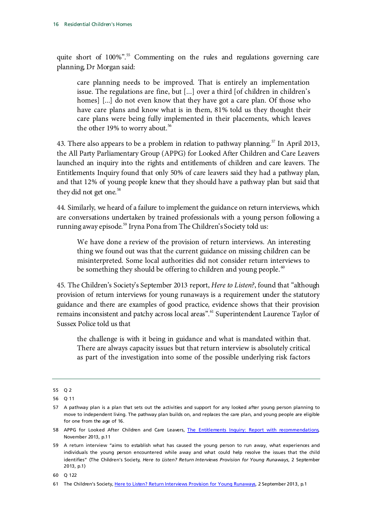quite short of 100%". [55](#page-19-0) Commenting on the rules and regulations governing care planning, Dr Morgan said:

care planning needs to be improved. That is entirely an implementation issue. The regulations are fine, but [...] over a third [of children in children's homes] [...] do not even know that they have got a care plan. Of those who have care plans and know what is in them, 81% told us they thought their care plans were being fully implemented in their placements, which leaves the other 19% to worry about.<sup>[56](#page-19-1)</sup>

43. There also appears to be a problem in relation to pathway planning.<sup>[57](#page-19-2)</sup> In April 2013, the All Party Parliamentary Group (APPG) for Looked After Children and Care Leavers launched an inquiry into the rights and entitlements of children and care leavers. The Entitlements Inquiry found that only 50% of care leavers said they had a pathway plan, and that 12% of young people knew that they should have a pathway plan but said that they did not get one.<sup>[58](#page-19-3)</sup>

44. Similarly, we heard of a failure to implement the guidance on return interviews, which are conversations undertaken by trained professionals with a young person following a running away episode.<sup>[59](#page-19-4)</sup> Iryna Pona from The Children's Society told us:

We have done a review of the provision of return interviews. An interesting thing we found out was that the current guidance on missing children can be misinterpreted. Some local authorities did not consider return interviews to be something they should be offering to children and young people.  $\omega$ 

45. The Children's Society's September 2013 report, *Here to Listen?*, found that "although provision of return interviews for young runaways is a requirement under the statutory guidance and there are examples of good practice, evidence shows that their provision remains inconsistent and patchy across local areas".<sup>[61](#page-19-6)</sup> Superintendent Laurence Taylor of Sussex Police told us that

the challenge is with it being in guidance and what is mandated within that. There are always capacity issues but that return interview is absolutely critical as part of the investigation into some of the possible underlying risk factors

<span id="page-19-0"></span><sup>55</sup> Q 2

<span id="page-19-1"></span><sup>56</sup> Q 11

<span id="page-19-2"></span><sup>57</sup> A pathway plan is a plan that sets out the activities and support for any looked after young person planning to move to independent living. The pathway plan builds on, and replaces the care plan, and young people are eligible for one from the age of 16.

<span id="page-19-3"></span><sup>58</sup> APPG for Looked After Children and Care Leavers, [The Entitlements Inquiry: Report with recommendations,](http://www.thewhocarestrust.org.uk/data/files/Entitlements_Inquiry_Full_Report.pdf) November 2013, p.11

<span id="page-19-4"></span><sup>59</sup> A return interview "aims to establish what has caused the young person to run away, what experiences and individuals the young person encountered while away and what could help resolve the issues that the child identifies" (The Children's Society, *Here to Listen? Return Interviews Provision for Young Runaways*, 2 September 2013, p.1)

<span id="page-19-5"></span><sup>60</sup> Q 122

<span id="page-19-6"></span><sup>61</sup> The Children's Society[, Here to Listen? Return Interviews Provision for Young Runaways,](http://www.childrenssociety.org.uk/sites/default/files/tcs/here_to_listen_report.pdf) 2 September 2013, p.1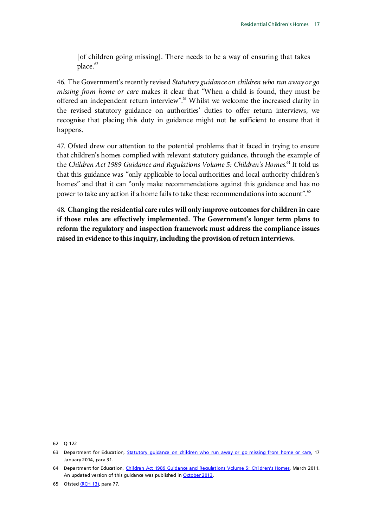[of children going missing]. There needs to be a way of ensuring that takes place.<sup>[62](#page-20-0)</sup>

46. The Government's recently revised *Statutory guidance on children who run away or go missing from home or care* makes it clear that "When a child is found, they must be offered an independent return interview".<sup>63</sup> Whilst we welcome the increased clarity in the revised statutory guidance on authorities' duties to offer return interviews, we recognise that placing this duty in guidance might not be sufficient to ensure that it happens.

47. Ofsted drew our attention to the potential problems that it faced in trying to ensure that children's homes complied with relevant statutory guidance, through the example of the *Children Act 1989 Guidance and Regulations Volume 5: Children's Homes*. [64](#page-20-2) It told us that this guidance was "only applicable to local authorities and local authority children's homes" and that it can "only make recommendations against this guidance and has no power to take any action if a home fails to take these recommendations into account".[65](#page-20-3)

48. **Changing the residential care rules will only improve outcomes for children in care if those rules are effectively implemented. The Government's longer term plans to reform the regulatory and inspection framework must address the compliance issues raised in evidence to this inquiry, including the provision of return interviews.**

<span id="page-20-0"></span>62 Q 122

<span id="page-20-1"></span><sup>63</sup> Department for Education, Statutory quidance on children who run away or go missing from home or care, 17 January 2014, para 31.

<span id="page-20-2"></span><sup>64</sup> Department for Education, [Children Act 1989 Guidance and Regulations Volume 5: Children's Homes,](http://webarchive.nationalarchives.gov.uk/20130401151715/https:/www.education.gov.uk/publications/standard/publicationDetail/Page1/DFE-00024-2011) March 2011. An updated version of this guidance was published i[n October 2013.](http://media.education.gov.uk/assets/files/pdf/c/ch%20guidance%20final%20master%20for%20pub%20oct%202013.pdf)

<span id="page-20-3"></span><sup>65</sup> Ofste[d \(RCH 13\),](http://data.parliament.uk/writtenevidence/WrittenEvidence.svc/EvidenceHtml/2297) para 77.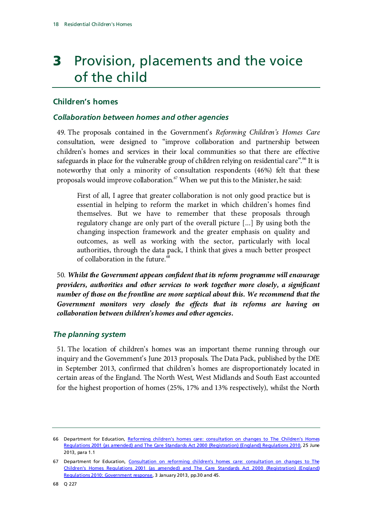## <span id="page-21-0"></span>**3** Provision, placements and the voice of the child

### <span id="page-21-1"></span>**Children's homes**

### <span id="page-21-2"></span>*Collaboration between homes and other agencies*

49. The proposals contained in the Government's *Reforming Children's Homes Care* consultation, were designed to "improve collaboration and partnership between children's homes and services in their local communities so that there are effective safeguards in place for the vulnerable group of children relying on residential care".<sup>[66](#page-21-4)</sup> It is noteworthy that only a minority of consultation respondents (46%) felt that these proposals would improve collaboration.<sup>[67](#page-21-5)</sup> When we put this to the Minister, he said:

First of all, I agree that greater collaboration is not only good practice but is essential in helping to reform the market in which children's homes find themselves. But we have to remember that these proposals through regulatory change are only part of the overall picture [...] By using both the changing inspection framework and the greater emphasis on quality and outcomes, as well as working with the sector, particularly with local authorities, through the data pack, I think that gives a much better prospect of collaboration in the future.<sup>[68](#page-21-6)</sup>

50. *Whilst the Government appears confident that its reform programme will encourage providers, authorities and other services to work together more closely, a significant number of those on the frontline are more sceptical about this. We recommend that the Government monitors very closely the effects that its reforms are having on collaboration between children's homes and other agencies.*

### <span id="page-21-3"></span>*The planning system*

51. The location of children's homes was an important theme running through our inquiry and the Government's June 2013 proposals. The Data Pack, published by the DfE in September 2013, confirmed that children's homes are disproportionately located in certain areas of the England. The North West, West Midlands and South East accounted for the highest proportion of homes (25%, 17% and 13% respectively), whilst the North

<span id="page-21-4"></span><sup>66</sup> Department for Education, [Reforming children's homes care: consultation on changes to The Children's Homes](https://www.gov.uk/government/uploads/system/uploads/attachment_data/file/208524/Reforming_children_s_homes_care_-_consultation_document.pdf)  [Regulations 2001 \(as amended\) and The Care Standards Act 2000 \(Registration\)](https://www.gov.uk/government/uploads/system/uploads/attachment_data/file/208524/Reforming_children_s_homes_care_-_consultation_document.pdf) (England) Regulations 2010, 25 June 2013, para 1.1

<span id="page-21-6"></span><span id="page-21-5"></span><sup>67</sup> Department for Education, Consultation on reforming children's homes care: consultation on changes to The [Children's Homes Regulations 2001 \(as amended\) and The Care Standards Act 2000 \(Registration\) \(England\)](https://www.gov.uk/government/uploads/system/uploads/attachment_data/file/268720/CH_consultation_response_v_1_1.pdf)  [Regulations 2010: Government response,](https://www.gov.uk/government/uploads/system/uploads/attachment_data/file/268720/CH_consultation_response_v_1_1.pdf) 3 January 2013, pp.30 and 45.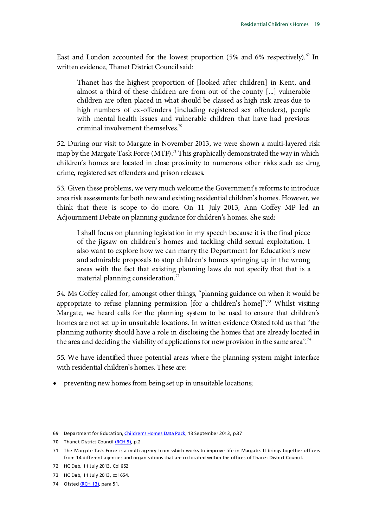East and London accounted for the lowest proportion (5% and 6% respectively).<sup>[69](#page-22-0)</sup> In written evidence, Thanet District Council said:

Thanet has the highest proportion of [looked after children] in Kent, and almost a third of these children are from out of the county [...] vulnerable children are often placed in what should be classed as high risk areas due to high numbers of ex-offenders (including registered sex offenders), people with mental health issues and vulnerable children that have had previous criminal involvement themselves.<sup>70</sup>

52. During our visit to Margate in November 2013, we were shown a multi-layered risk map by the Margate Task Force (MTF).<sup>71</sup> This graphically demonstrated the way in which children's homes are located in close proximity to numerous other risks such as: drug crime, registered sex offenders and prison releases.

53. Given these problems, we very much welcome the Government's reforms to introduce area risk assessments for both new and existing residential children's homes. However, we think that there is scope to do more. On 11 July 2013, Ann Coffey MP led an Adjournment Debate on planning guidance for children's homes. She said:

I shall focus on planning legislation in my speech because it is the final piece of the jigsaw on children's homes and tackling child sexual exploitation. I also want to explore how we can marry the Department for Education's new and admirable proposals to stop children's homes springing up in the wrong areas with the fact that existing planning laws do not specify that that is a material planning consideration. $^{72}$  $^{72}$  $^{72}$ 

54. Ms Coffey called for, amongst other things, "planning guidance on when it would be appropriate to refuse planning permission [for a children's home]".<sup>73</sup> Whilst visiting Margate, we heard calls for the planning system to be used to ensure that children's homes are not set up in unsuitable locations. In written evidence Ofsted told us that "the planning authority should have a role in disclosing the homes that are already located in the area and deciding the viability of applications for new provision in the same area".<sup>[74](#page-22-5)</sup>

55. We have identified three potential areas where the planning system might interface with residential children's homes. These are:

• preventing new homes from being set up in unsuitable locations;

<span id="page-22-0"></span><sup>69</sup> Department for Education[, Children's Homes Data Pack,](https://www.gov.uk/government/uploads/system/uploads/attachment_data/file/265944/childrens_homes_data_pack_2013.pdf) 13 September 2013, p.37

<span id="page-22-1"></span><sup>70</sup> Thanet District Counci[l \(RCH 9\),](http://data.parliament.uk/writtenevidence/WrittenEvidence.svc/EvidenceHtml/2289) p.2

<span id="page-22-2"></span><sup>71</sup> The Margate Task Force is a multi-agency team which works to improve life in Margate. It brings together officers from 14 different agencies and organisations that are co-located within the offices of Thanet District Council.

<span id="page-22-3"></span><sup>72</sup> HC Deb, 11 July 2013, Col 652

<span id="page-22-4"></span><sup>73</sup> HC Deb, 11 July 2013, col 654.

<span id="page-22-5"></span><sup>74</sup> Ofste[d \(RCH 13\),](http://data.parliament.uk/writtenevidence/WrittenEvidence.svc/EvidenceHtml/2297) para 51.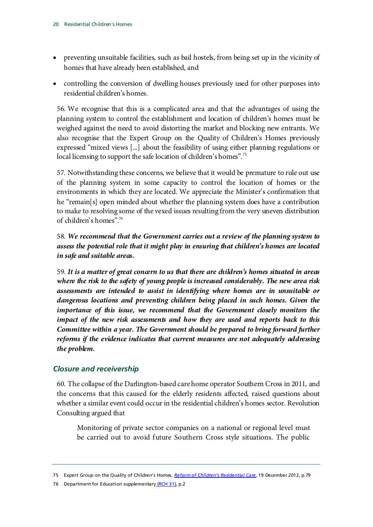- preventing unsuitable facilities, such as bail hostels, from being set up in the vicinity of homes that have already been established, and
- controlling the conversion of dwelling houses previously used for other purposes into residential children's homes.

56. We recognise that this is a complicated area and that the advantages of using the planning system to control the establishment and location of children's homes must be weighed against the need to avoid distorting the market and blocking new entrants. We also recognise that the Expert Group on the Quality of Children's Homes previously expressed "mixed views [...] about the feasibility of using either planning regulations or local licensing to support the safe location of children's homes".<sup>[75](#page-23-1)</sup>

57. Notwithstanding these concerns, we believe that it would be premature to rule out use of the planning system in some capacity to control the location of homes or the environments in which they are located. We appreciate the Minister's confirmation that he "remain[s] open minded about whether the planning system does have a contribution to make to resolving some of the vexed issues resulting from the very uneven distribution of children's homes"[.76](#page-23-2)

58. *We recommend that the Government carries out a review of the planning system to assess the potential role that it might play in ensuring that children's homes are located in safe and suitable areas.*

59. *It is a matter of great concern to us that there are children's homes situated in areas where the risk to the safety of young people is increased considerably. The new area risk assessments are intended to assist in identifying where homes are in unsuitable or dangerous locations and preventing children being placed in such homes. Given the importance of this issue, we recommend that the Government closely monitors the impact of the new risk assessments and how they are used and reports back to this Committee within a year. The Government should be prepared to bring forward further reforms if the evidence indicates that current measures are not adequately addressing the problem.*

### <span id="page-23-0"></span>*Closure and receivership*

60. The collapse of the Darlington-based care home operator Southern Cross in 2011, and the concerns that this caused for the elderly residents affected, raised questions about whether a similar event could occur in the residential children's homes sector. Revolution Consulting argued that

Monitoring of private sector companies on a national or regional level must be carried out to avoid future Southern Cross style situations. The public

<span id="page-23-1"></span><sup>75</sup> Expert Group on the Quality of Children's Homes, *[Reform of Children's Residential Care](http://media.education.gov.uk/assets/files/pdf/c/childrens%20homes%20reform%20quality%20group%20%20%20final%20report.pdf)*, 19 December 2012, p.79

<span id="page-23-2"></span><sup>76</sup> Department for Education supplementary [\(RCH 31\),](http://data.parliament.uk/writtenevidence/WrittenEvidence.svc/EvidenceHtml/5430) p.2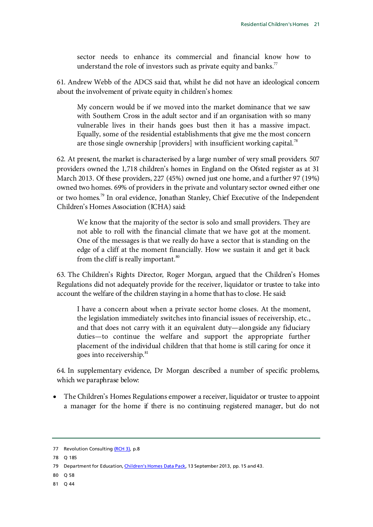sector needs to enhance its commercial and financial know how to understand the role of investors such as private equity and banks. $\frac{7}{7}$ 

61. Andrew Webb of the ADCS said that, whilst he did not have an ideological concern about the involvement of private equity in children's homes:

My concern would be if we moved into the market dominance that we saw with Southern Cross in the adult sector and if an organisation with so many vulnerable lives in their hands goes bust then it has a massive impact. Equally, some of the residential establishments that give me the most concern are those single ownership [providers] with insufficient working capital.<sup>[78](#page-24-1)</sup>

62. At present, the market is characterised by a large number of very small providers. 507 providers owned the 1,718 children's homes in England on the Ofsted register as at 31 March 2013. Of these providers, 227 (45%) owned just one home, and a further 97 (19%) owned two homes. 69% of providers in the private and voluntary sector owned either one or two homes.<sup>[79](#page-24-2)</sup> In oral evidence, Jonathan Stanley, Chief Executive of the Independent Children's Homes Association (ICHA) said:

We know that the majority of the sector is solo and small providers. They are not able to roll with the financial climate that we have got at the moment. One of the messages is that we really do have a sector that is standing on the edge of a cliff at the moment financially. How we sustain it and get it back from the cliff is really important. $\frac{80}{100}$  $\frac{80}{100}$  $\frac{80}{100}$ 

63. The Children's Rights Director, Roger Morgan, argued that the Children's Homes Regulations did not adequately provide for the receiver, liquidator or trustee to take into account the welfare of the children staying in a home that has to close. He said:

I have a concern about when a private sector home closes. At the moment, the legislation immediately switches into financial issues of receivership, etc., and that does not carry with it an equivalent duty—alongside any fiduciary duties—to continue the welfare and support the appropriate further placement of the individual children that that home is still caring for once it goes into receivership.<sup>[81](#page-24-4)</sup>

64. In supplementary evidence, Dr Morgan described a number of specific problems, which we paraphrase below:

• The Children's Homes Regulations empower a receiver, liquidator or trustee to appoint a manager for the home if there is no continuing registered manager, but do not

<span id="page-24-4"></span>81 Q 44

<span id="page-24-0"></span><sup>77</sup> Revolution Consultin[g \(RCH 3\),](http://data.parliament.uk/writtenevidence/WrittenEvidence.svc/EvidenceHtml/4806) p.8

<span id="page-24-1"></span><sup>78</sup> Q 185

<span id="page-24-2"></span><sup>79</sup> Department for Education[, Children's Homes Data Pack,](https://www.gov.uk/government/uploads/system/uploads/attachment_data/file/265944/childrens_homes_data_pack_2013.pdf) 13 September 2013, pp. 15 and 43.

<span id="page-24-3"></span><sup>80</sup> Q 58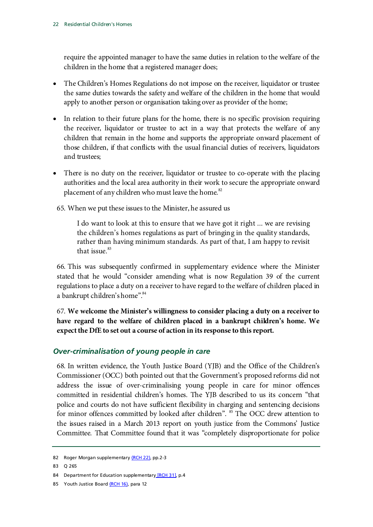require the appointed manager to have the same duties in relation to the welfare of the children in the home that a registered manager does;

- The Children's Homes Regulations do not impose on the receiver, liquidator or trustee the same duties towards the safety and welfare of the children in the home that would apply to another person or organisation taking over as provider of the home;
- In relation to their future plans for the home, there is no specific provision requiring the receiver, liquidator or trustee to act in a way that protects the welfare of any children that remain in the home and supports the appropriate onward placement of those children, if that conflicts with the usual financial duties of receivers, liquidators and trustees;
- There is no duty on the receiver, liquidator or trustee to co-operate with the placing authorities and the local area authority in their work to secure the appropriate onward placement of any children who must leave the home.<sup>[82](#page-25-1)</sup>
- 65. When we put these issues to the Minister, he assured us

I do want to look at this to ensure that we have got it right ... we are revising the children's homes regulations as part of bringing in the quality standards, rather than having minimum standards. As part of that, I am happy to revisit that issue.<sup>[83](#page-25-2)</sup>

66. This was subsequently confirmed in supplementary evidence where the Minister stated that he would "consider amending what is now Regulation 39 of the current regulations to place a duty on a receiver to have regard to the welfare of children placed in a bankrupt children's home".<sup>84</sup>

67. **We welcome the Minister's willingness to consider placing a duty on a receiver to have regard to the welfare of children placed in a bankrupt children's home. We expect the DfE to set out a course of action in its response to this report.**

### <span id="page-25-0"></span>*Over-criminalisation of young people in care*

68. In written evidence, the Youth Justice Board (YJB) and the Office of the Children's Commissioner (OCC) both pointed out that the Government's proposed reforms did not address the issue of over-criminalising young people in care for minor offences committed in residential children's homes. The YJB described to us its concern "that police and courts do not have sufficient flexibility in charging and sentencing decisions for minor offences committed by looked after children". <sup>[85](#page-25-4)</sup> The OCC drew attention to the issues raised in a March 2013 report on youth justice from the Commons' Justice Committee. That Committee found that it was "completely disproportionate for police

<span id="page-25-4"></span>85 Youth Justice Boar[d \(RCH 16\),](http://data.parliament.uk/writtenevidence/WrittenEvidence.svc/EvidenceHtml/2336) para 12

<span id="page-25-1"></span><sup>82</sup> Roger Morgan supplementar[y \(RCH 22\),](http://data.parliament.uk/writtenevidence/WrittenEvidence.svc/EvidenceHtml/3885) pp.2-3

<span id="page-25-2"></span><sup>83</sup> Q 265

<span id="page-25-3"></span><sup>84</sup> Department for Education supplementary [\[RCH 31\],](http://data.parliament.uk/writtenevidence/WrittenEvidence.svc/EvidenceHtml/5430) p.4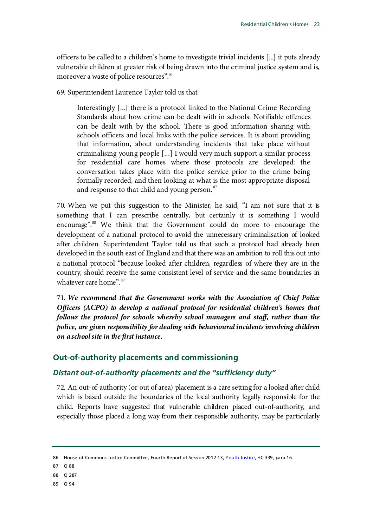officers to be called to a children's home to investigate trivial incidents [...] it puts already vulnerable children at greater risk of being drawn into the criminal justice system and is, moreover a waste of police resources".<sup>86</sup>

69. Superintendent Laurence Taylor told us that

Interestingly [...] there is a protocol linked to the National Crime Recording Standards about how crime can be dealt with in schools. Notifiable offences can be dealt with by the school. There is good information sharing with schools officers and local links with the police services. It is about providing that information, about understanding incidents that take place without criminalising young people [...] I would very much support a similar process for residential care homes where those protocols are developed: the conversation takes place with the police service prior to the crime being formally recorded, and then looking at what is the most appropriate disposal and response to that child and young person.<sup>[87](#page-26-3)</sup>

70. When we put this suggestion to the Minister, he said, "I am not sure that it is something that I can prescribe centrally, but certainly it is something I would encourage".[88](#page-26-4) We think that the Government could do more to encourage the development of a national protocol to avoid the unnecessary criminalisation of looked after children. Superintendent Taylor told us that such a protocol had already been developed in the south east of England and that there was an ambition to roll this out into a national protocol "because looked after children, regardless of where they are in the country, should receive the same consistent level of service and the same boundaries in whatever care home".<sup>[89](#page-26-5)</sup>

71. *We recommend that the Government works with the Association of Chief Police Officers (ACPO) to develop a national protocol for residential children's homes that follows the protocol for schools whereby school managers and staff, rather than the police, are given responsibility for dealing with behavioural incidents involving children on a school site in the first instance.*

### <span id="page-26-0"></span>**Out-of-authority placements and commissioning**

### <span id="page-26-1"></span>*Distant out-of-authority placements and the "sufficiency duty"*

72. An out-of-authority (or out of area) placement is a care setting for a looked after child which is based outside the boundaries of the local authority legally responsible for the child. Reports have suggested that vulnerable children placed out-of-authority, and especially those placed a long way from their responsible authority, may be particularly

<span id="page-26-2"></span><sup>86</sup> House of Commons Justice Committee, Fourth Report of Session 2012-13[, Youth Justice,](http://www.publications.parliament.uk/pa/cm201213/cmselect/cmjust/339/339.pdf) HC 339, para 16.

<span id="page-26-3"></span><sup>87</sup> Q 88

<span id="page-26-4"></span><sup>88</sup> Q 287

<span id="page-26-5"></span><sup>89</sup> Q 94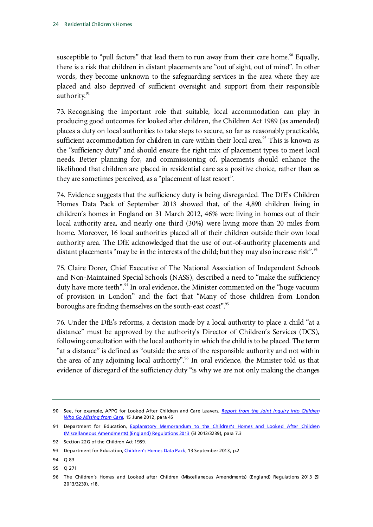susceptible to "pull factors" that lead them to run away from their care home.<sup>90</sup> Equally, there is a risk that children in distant placements are "out of sight, out of mind". In other words, they become unknown to the safeguarding services in the area where they are placed and also deprived of sufficient oversight and support from their responsible authority.<sup>[91](#page-27-1)</sup>

73. Recognising the important role that suitable, local accommodation can play in producing good outcomes for looked after children, the Children Act 1989 (as amended) places a duty on local authorities to take steps to secure, so far as reasonably practicable, sufficient accommodation for children in care within their local area.<sup>92</sup> This is known as the "sufficiency duty" and should ensure the right mix of placement types to meet local needs. Better planning for, and commissioning of, placements should enhance the likelihood that children are placed in residential care as a positive choice, rather than as they are sometimes perceived, as a "placement of last resort".

74. Evidence suggests that the sufficiency duty is being disregarded. The DfE's Children Homes Data Pack of September 2013 showed that, of the 4,890 children living in children's homes in England on 31 March 2012, 46% were living in homes out of their local authority area, and nearly one third (30%) were living more than 20 miles from home. Moreover, 16 local authorities placed all of their children outside their own local authority area. The DfE acknowledged that the use of out-of-authority placements and distant placements "may be in the interests of the child; but they may also increase risk".<sup>[93](#page-27-3)</sup>

75. Claire Dorer, Chief Executive of The National Association of Independent Schools and Non-Maintained Special Schools (NASS), described a need to "make the sufficiency duty have more teeth".<sup>[94](#page-27-4)</sup> In oral evidence, the Minister commented on the "huge vacuum of provision in London" and the fact that "Many of those children from London boroughs are finding themselves on the south-east coast".<sup>95</sup>

76. Under the DfE's reforms, a decision made by a local authority to place a child "at a distance" must be approved by the authority's Director of Children's Services (DCS), following consultation with the local authority in which the child is to be placed. The term "at a distance" is defined as "outside the area of the responsible authority and not within the area of any adjoining local authority". <sup> $%$ </sup> In oral evidence, the Minister told us that evidence of disregard of the sufficiency duty "is why we are not only making the changes

<span id="page-27-0"></span><sup>90</sup> See, for example, APPG for Looked After Children and Care Leavers, *[Report from the Joint Inquiry into Children](https://www.gov.uk/government/publications/report-from-the-joint-inquiry-into-children-who-go-missing-from-care)  [Who Go Missing from Care](https://www.gov.uk/government/publications/report-from-the-joint-inquiry-into-children-who-go-missing-from-care)*, 15 June 2012, para 45

<span id="page-27-1"></span><sup>91</sup> Department for Education, Explanatory Memorandum to the Children's Homes and Looked After Children [\(Miscellaneous Amendments\) \(England\) Regulations 2013](http://www.legislation.gov.uk/uksi/2013/3239/pdfs/uksiem_20133239_en.pdf) (SI 2013/3239), para 7.3

<span id="page-27-2"></span><sup>92</sup> Section 22G of the Children Act 1989.

<span id="page-27-3"></span><sup>93</sup> Department for Education[, Children's Homes Data Pack,](https://www.gov.uk/government/uploads/system/uploads/attachment_data/file/265944/childrens_homes_data_pack_2013.pdf) 13 September 2013, p.2

<span id="page-27-4"></span><sup>94</sup> Q 83

<span id="page-27-5"></span><sup>95</sup> Q 271

<span id="page-27-6"></span><sup>96</sup> The Children's Homes and Looked after Children (Miscellaneous Amendments) (England) Regulations 2013 (SI 2013/3239), r18.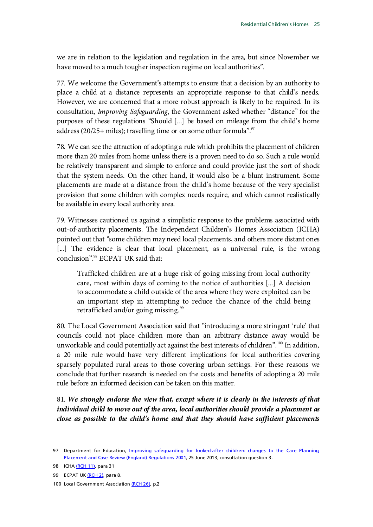we are in relation to the legislation and regulation in the area, but since November we have moved to a much tougher inspection regime on local authorities".

77. We welcome the Government's attempts to ensure that a decision by an authority to place a child at a distance represents an appropriate response to that child's needs. However, we are concerned that a more robust approach is likely to be required. In its consultation, *Improving Safeguarding*, the Government asked whether "distance" for the purposes of these regulations "Should [...] be based on mileage from the child's home address (20/25+ miles); travelling time or on some other formula".<sup>97</sup>

78. We can see the attraction of adopting a rule which prohibits the placement of children more than 20 miles from home unless there is a proven need to do so. Such a rule would be relatively transparent and simple to enforce and could provide just the sort of shock that the system needs. On the other hand, it would also be a blunt instrument. Some placements are made at a distance from the child's home because of the very specialist provision that some children with complex needs require, and which cannot realistically be available in every local authority area.

79. Witnesses cautioned us against a simplistic response to the problems associated with out-of-authority placements. The Independent Children's Homes Association (ICHA) pointed out that "some children may need local placements, and others more distant ones [...] The evidence is clear that local placement, as a universal rule, is the wrong conclusion"[.98](#page-28-1) ECPAT UK said that:

Trafficked children are at a huge risk of going missing from local authority care, most within days of coming to the notice of authorities [...] A decision to accommodate a child outside of the area where they were exploited can be an important step in attempting to reduce the chance of the child being retrafficked and/or going missing.<sup>[99](#page-28-2)</sup>

80. The Local Government Association said that "introducing a more stringent 'rule' that councils could not place children more than an arbitrary distance away would be unworkable and could potentially act against the best interests of children".<sup>[100](#page-28-3)</sup> In addition, a 20 mile rule would have very different implications for local authorities covering sparsely populated rural areas to those covering urban settings. For these reasons we conclude that further research is needed on the costs and benefits of adopting a 20 mile rule before an informed decision can be taken on this matter.

81. *We strongly endorse the view that, except where it is clearly in the interests of that individual child to move out of the area, local authorities should provide a placement as close as possible to the child's home and that they should have sufficient placements* 

<span id="page-28-0"></span><sup>97</sup> Department for Education, *Improving safequarding for looked-after children: changes to the Care Planning* [Placement and Case Review \(England\) Regulations 2001,](https://www.gov.uk/government/uploads/system/uploads/attachment_data/file/223491/Improving_safeguarding_for_looked_after_children_consultation_document.pdf) 25 June 2013, consultation question 3.

<span id="page-28-1"></span><sup>98</sup> ICHA [\(RCH 11\),](http://data.parliament.uk/writtenevidence/WrittenEvidence.svc/EvidenceHtml/2294) para 31

<span id="page-28-2"></span><sup>99</sup> ECPAT U[K \(RCH 2\),](http://data.parliament.uk/writtenevidence/WrittenEvidence.svc/EvidenceHtml/2231) para 8.

<span id="page-28-3"></span><sup>100</sup> Local Government Associatio[n \(RCH 26\),](http://data.parliament.uk/writtenevidence/WrittenEvidence.svc/EvidenceHtml/4613) p.2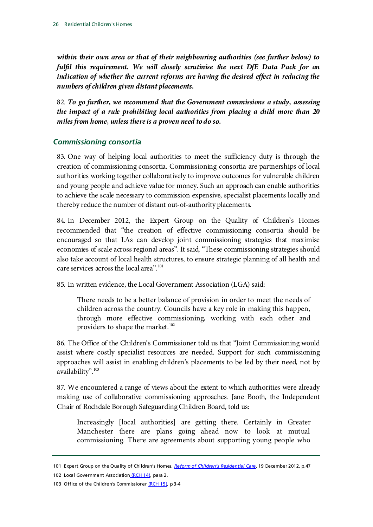*within their own area or that of their neighbouring authorities (see further below) to fulfil this requirement. We will closely scrutinise the next DfE Data Pack for an indication of whether the current reforms are having the desired effect in reducing the numbers of children given distant placements.*

82. *To go further, we recommend that the Government commissions a study, assessing the impact of a rule prohibiting local authorities from placing a child more than 20 miles from home, unless there is a proven need to do so.*

### <span id="page-29-0"></span>*Commissioning consortia*

83. One way of helping local authorities to meet the sufficiency duty is through the creation of commissioning consortia. Commissioning consortia are partnerships of local authorities working together collaboratively to improve outcomes for vulnerable children and young people and achieve value for money. Such an approach can enable authorities to achieve the scale necessary to commission expensive, specialist placements locally and thereby reduce the number of distant out-of-authority placements.

84. In December 2012, the Expert Group on the Quality of Children's Homes recommended that "the creation of effective commissioning consortia should be encouraged so that LAs can develop joint commissioning strategies that maximise economies of scale across regional areas". It said, "These commissioning strategies should also take account of local health structures, to ensure strategic planning of all health and care services across the local area".<sup>[101](#page-29-1)</sup>

85. In written evidence, the Local Government Association (LGA) said:

There needs to be a better balance of provision in order to meet the needs of children across the country. Councils have a key role in making this happen, through more effective commissioning, working with each other and providers to shape the market.<sup>[102](#page-29-2)</sup>

86. The Office of the Children's Commissioner told us that "Joint Commissioning would assist where costly specialist resources are needed. Support for such commissioning approaches will assist in enabling children's placements to be led by their need, not by availability".<sup>[103](#page-29-3)</sup>

87. We encountered a range of views about the extent to which authorities were already making use of collaborative commissioning approaches. Jane Booth, the Independent Chair of Rochdale Borough Safeguarding Children Board, told us:

Increasingly [local authorities] are getting there. Certainly in Greater Manchester there are plans going ahead now to look at mutual commissioning. There are agreements about supporting young people who

<span id="page-29-1"></span><sup>101</sup> Expert Group on the Quality of Children's Homes, *[Reform of Children's Residential Care](http://media.education.gov.uk/assets/files/pdf/c/childrens%20homes%20reform%20quality%20group%20%20%20final%20report.pdf)*, 19 December 2012, p.47 102 Local Government Association [\(RCH 14\),](http://data.parliament.uk/writtenevidence/WrittenEvidence.svc/EvidenceHtml/2303) para 2.

<span id="page-29-3"></span><span id="page-29-2"></span><sup>103</sup> Office of the Children's Commissione[r \(RCH 15\),](http://data.parliament.uk/writtenevidence/WrittenEvidence.svc/EvidenceHtml/2310) p.3-4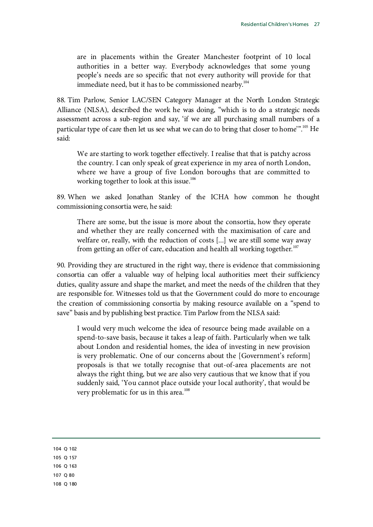are in placements within the Greater Manchester footprint of 10 local authorities in a better way. Everybody acknowledges that some young people's needs are so specific that not every authority will provide for that immediate need, but it has to be commissioned nearby.<sup>104</sup>

88. Tim Parlow, Senior LAC/SEN Category Manager at the North London Strategic Alliance (NLSA), described the work he was doing, "which is to do a strategic needs assessment across a sub-region and say, 'if we are all purchasing small numbers of a particular type of care then let us see what we can do to bring that closer to home".<sup>105</sup> He said:

We are starting to work together effectively. I realise that that is patchy across the country. I can only speak of great experience in my area of north London, where we have a group of five London boroughs that are committed to working together to look at this issue.<sup>106</sup>

89. When we asked Jonathan Stanley of the ICHA how common he thought commissioning consortia were, he said:

There are some, but the issue is more about the consortia, how they operate and whether they are really concerned with the maximisation of care and welfare or, really, with the reduction of costs [...] we are still some way away from getting an offer of care, education and health all working together.<sup>[107](#page-30-3)</sup>

90. Providing they are structured in the right way, there is evidence that commissioning consortia can offer a valuable way of helping local authorities meet their sufficiency duties, quality assure and shape the market, and meet the needs of the children that they are responsible for. Witnesses told us that the Government could do more to encourage the creation of commissioning consortia by making resource available on a "spend to save" basis and by publishing best practice. Tim Parlow from the NLSA said:

I would very much welcome the idea of resource being made available on a spend-to-save basis, because it takes a leap of faith. Particularly when we talk about London and residential homes, the idea of investing in new provision is very problematic. One of our concerns about the [Government's reform] proposals is that we totally recognise that out-of-area placements are not always the right thing, but we are also very cautious that we know that if you suddenly said, 'You cannot place outside your local authority', that would be very problematic for us in this area.<sup>[108](#page-30-4)</sup>

<span id="page-30-4"></span><span id="page-30-3"></span><span id="page-30-2"></span><span id="page-30-1"></span><span id="page-30-0"></span>108 Q 180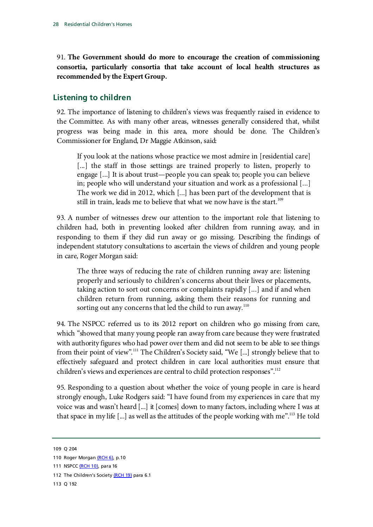91. **The Government should do more to encourage the creation of commissioning consortia, particularly consortia that take account of local health structures as recommended by the Expert Group.**

### <span id="page-31-0"></span>**Listening to children**

92. The importance of listening to children's views was frequently raised in evidence to the Committee. As with many other areas, witnesses generally considered that, whilst progress was being made in this area, more should be done. The Children's Commissioner for England, Dr Maggie Atkinson, said:

If you look at the nations whose practice we most admire in [residential care] [...] the staff in those settings are trained properly to listen, properly to engage [...] It is about trust—people you can speak to; people you can believe in; people who will understand your situation and work as a professional [...] The work we did in 2012, which [...] has been part of the development that is still in train, leads me to believe that what we now have is the start.<sup>[109](#page-31-1)</sup>

93. A number of witnesses drew our attention to the important role that listening to children had, both in preventing looked after children from running away, and in responding to them if they did run away or go missing. Describing the findings of independent statutory consultations to ascertain the views of children and young people in care, Roger Morgan said:

The three ways of reducing the rate of children running away are: listening properly and seriously to children's concerns about their lives or placements, taking action to sort out concerns or complaints rapidly [...] and if and when children return from running, asking them their reasons for running and sorting out any concerns that led the child to run away. $110$ 

94. The NSPCC referred us to its 2012 report on children who go missing from care, which "showed that many young people ran away from care because they were frustrated with authority figures who had power over them and did not seem to be able to see things from their point of view".<sup>[111](#page-31-3)</sup> The Children's Society said, "We [...] strongly believe that to effectively safeguard and protect children in care local authorities must ensure that children's views and experiences are central to child protection responses".<sup>112</sup>

95. Responding to a question about whether the voice of young people in care is heard strongly enough, Luke Rodgers said: "I have found from my experiences in care that my voice was and wasn't heard [...] it [comes] down to many factors, including where I was at that space in my life [...] as well as the attitudes of the people working with me".<sup>113</sup> He told

- <span id="page-31-4"></span>112 The Children's Societ[y \(RCH 19\)](http://data.parliament.uk/writtenevidence/WrittenEvidence.svc/EvidenceHtml/3479) para 6.1
- <span id="page-31-5"></span>113 Q 192

<span id="page-31-1"></span><sup>109</sup> Q 204

<span id="page-31-2"></span><sup>110</sup> Roger Morga[n \(RCH 6\),](http://data.parliament.uk/writtenevidence/WrittenEvidence.svc/EvidenceHtml/2285) p.10

<span id="page-31-3"></span><sup>111</sup> NSPC[C \(RCH 10\),](http://data.parliament.uk/writtenevidence/WrittenEvidence.svc/EvidenceHtml/2292) para 16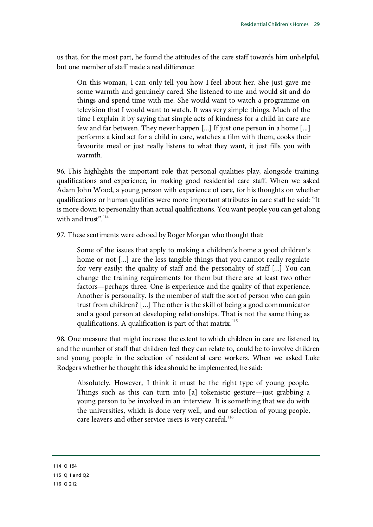us that, for the most part, he found the attitudes of the care staff towards him unhelpful, but one member of staff made a real difference:

On this woman, I can only tell you how I feel about her. She just gave me some warmth and genuinely cared. She listened to me and would sit and do things and spend time with me. She would want to watch a programme on television that I would want to watch. It was very simple things. Much of the time I explain it by saying that simple acts of kindness for a child in care are few and far between. They never happen [...] If just one person in a home [...] performs a kind act for a child in care, watches a film with them, cooks their favourite meal or just really listens to what they want, it just fills you with warmth.

96. This highlights the important role that personal qualities play, alongside training, qualifications and experience, in making good residential care staff. When we asked Adam John Wood, a young person with experience of care, for his thoughts on whether qualifications or human qualities were more important attributes in care staff he said: "It is more down to personality than actual qualifications. You want people you can get along with and trust".<sup>[114](#page-32-0)</sup>

97. These sentiments were echoed by Roger Morgan who thought that:

Some of the issues that apply to making a children's home a good children's home or not [...] are the less tangible things that you cannot really regulate for very easily: the quality of staff and the personality of staff [...] You can change the training requirements for them but there are at least two other factors—perhaps three. One is experience and the quality of that experience. Another is personality. Is the member of staff the sort of person who can gain trust from children? [...] The other is the skill of being a good communicator and a good person at developing relationships. That is not the same thing as qualifications. A qualification is part of that matrix.<sup>[115](#page-32-1)</sup>

98. One measure that might increase the extent to which children in care are listened to, and the number of staff that children feel they can relate to, could be to involve children and young people in the selection of residential care workers. When we asked Luke Rodgers whether he thought this idea should be implemented, he said:

Absolutely. However, I think it must be the right type of young people. Things such as this can turn into [a] tokenistic gesture—just grabbing a young person to be involved in an interview. It is something that we do with the universities, which is done very well, and our selection of young people, care leavers and other service users is very careful.<sup>[116](#page-32-2)</sup>

<span id="page-32-2"></span><span id="page-32-1"></span><span id="page-32-0"></span>114 Q 194 115 Q 1 and Q2 116 Q 212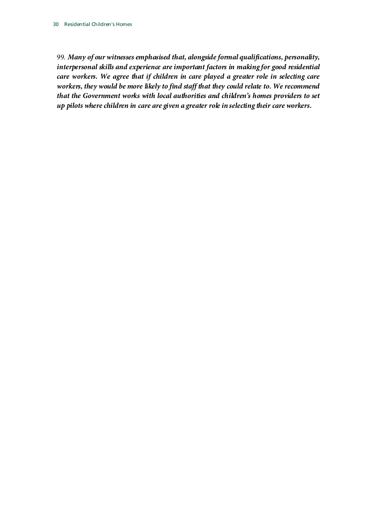99. *Many of our witnesses emphasised that, alongside formal qualifications, personality, interpersonal skills and experience are important factors in making for good residential care workers. We agree that if children in care played a greater role in selecting care workers, they would be more likely to find staff that they could relate to. We recommend that the Government works with local authorities and children's homes providers to set up pilots where children in care are given a greater role in selecting their care workers.*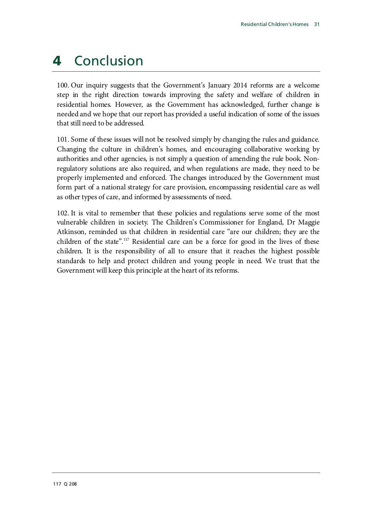### <span id="page-34-0"></span>4 Conclusion

100. Our inquiry suggests that the Government's January 2014 reforms are a welcome step in the right direction towards improving the safety and welfare of children in residential homes. However, as the Government has acknowledged, further change is needed and we hope that our report has provided a useful indication of some of the issues that still need to be addressed.

101. Some of these issues will not be resolved simply by changing the rules and guidance. Changing the culture in children's homes, and encouraging collaborative working by authorities and other agencies, is not simply a question of amending the rule book. Nonregulatory solutions are also required, and when regulations are made, they need to be properly implemented and enforced. The changes introduced by the Government must form part of a national strategy for care provision, encompassing residential care as well as other types of care, and informed by assessments of need.

<span id="page-34-1"></span>102. It is vital to remember that these policies and regulations serve some of the most vulnerable children in society. The Children's Commissioner for England, Dr Maggie Atkinson, reminded us that children in residential care "are our children; they are the children of the state".<sup>[117](#page-34-1)</sup> Residential care can be a force for good in the lives of these children. It is the responsibility of all to ensure that it reaches the highest possible standards to help and protect children and young people in need. We trust that the Government will keep this principle at the heart of its reforms.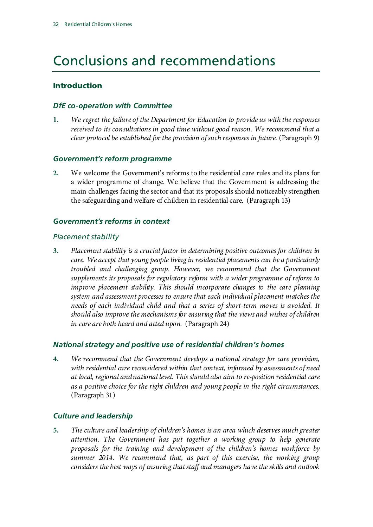## Conclusions and recommendations

### Introduction

### *DfE co-operation with Committee*

**1.** *We regret the failure of the Department for Education to provide us with the responses received to its consultations in good time without good reason. We recommend that a clear protocol be established for the provision of such responses in future.* (Paragraph 9)

### *Government's reform programme*

**2.** We welcome the Government's reforms to the residential care rules and its plans for a wider programme of change. We believe that the Government is addressing the main challenges facing the sector and that its proposals should noticeably strengthen the safeguarding and welfare of children in residential care. (Paragraph 13)

### *Government's reforms in context*

### *Placement stability*

**3.** *Placement stability is a crucial factor in determining positive outcomes for children in care. We accept that young people living in residential placements can be a particularly troubled and challenging group. However, we recommend that the Government supplements its proposals for regulatory reform with a wider programme of reform to improve placement stability. This should incorporate changes to the care planning system and assessment processes to ensure that each individual placement matches the needs of each individual child and that a series of short-term moves is avoided. It should also improve the mechanisms for ensuring that the views and wishes of children in care are both heard and acted upon.* (Paragraph 24)

### *National strategy and positive use of residential children's homes*

**4.** *We recommend that the Government develops a national strategy for care provision, with residential care reconsidered within that context, informed by assessments of need at local, regional and national level. This should also aim to re-position residential care as a positive choice for the right children and young people in the right circumstances.* (Paragraph 31)

### *Culture and leadership*

**5.** *The culture and leadership of children's homes is an area which deserves much greater attention. The Government has put together a working group to help generate proposals for the training and development of the children's homes workforce by*  summer 2014. We recommend that, as part of this exercise, the working group *considers the best ways of ensuring that staff and managers have the skills and outlook*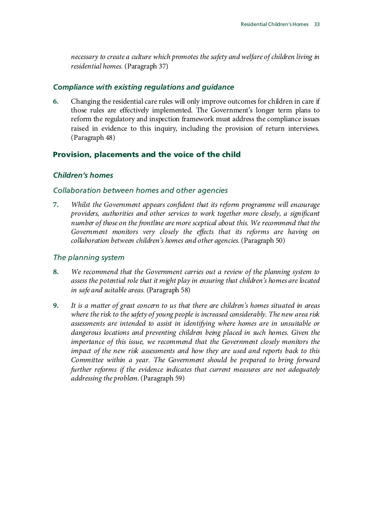*necessary to create a culture which promotes the safety and welfare of children living in residential homes.* (Paragraph 37)

### *Compliance with existing regulations and guidance*

**6.** Changing the residential care rules will only improve outcomes for children in care if those rules are effectively implemented. The Government's longer term plans to reform the regulatory and inspection framework must address the compliance issues raised in evidence to this inquiry, including the provision of return interviews. (Paragraph 48)

### Provision, placements and the voice of the child

### *Children's homes*

#### *Collaboration between homes and other agencies*

**7.** *Whilst the Government appears confident that its reform programme will encourage providers, authorities and other services to work together more closely, a significant number of those on the frontline are more sceptical about this. We recommend that the Government monitors very closely the effects that its reforms are having on collaboration between children's homes and other agencies.*(Paragraph 50)

#### *The planning system*

- **8.** *We recommend that the Government carries out a review of the planning system to assess the potential role that it might play in ensuring that children's homes are located in safe and suitable areas.* (Paragraph 58)
- **9.** *It is a matter of great concern to us that there are children's homes situated in areas where the risk to the safety of young people is increased considerably. The new area risk assessments are intended to assist in identifying where homes are in unsuitable or dangerous locations and preventing children being placed in such homes. Given the importance of this issue, we recommend that the Government closely monitors the impact of the new risk assessments and how they are used and reports back to this Committee within a year. The Government should be prepared to bring forward further reforms if the evidence indicates that current measures are not adequately addressing the problem.*(Paragraph 59)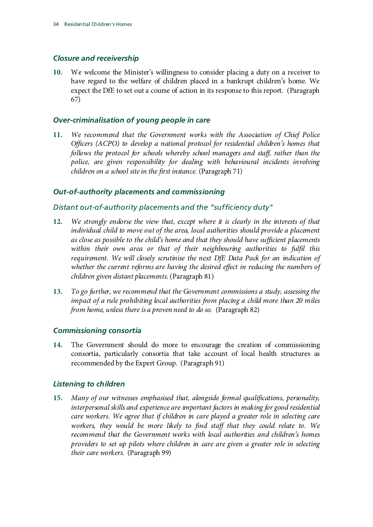### *Closure and receivership*

**10.** We welcome the Minister's willingness to consider placing a duty on a receiver to have regard to the welfare of children placed in a bankrupt children's home. We expect the DfE to set out a course of action in its response to this report. (Paragraph 67)

### *Over-criminalisation of young people in care*

**11.** *We recommend that the Government works with the Association of Chief Police Officers (ACPO) to develop a national protocol for residential children's homes that follows the protocol for schools whereby school managers and staff, rather than the police, are given responsibility for dealing with behavioural incidents involving children on a school site in the first instance.* (Paragraph 71)

### *Out-of-authority placements and commissioning*

### *Distant out-of-authority placements and the "sufficiency duty"*

- **12.** *We strongly endorse the view that, except where it is clearly in the interests of that individual child to move out of the area, local authorities should provide a placement as close as possible to the child's home and that they should have sufficient placements within their own area or that of their neighbouring authorities to fulfil this requirement. We will closely scrutinise the next DfE Data Pack for an indication of whether the current reforms are having the desired effect in reducing the numbers of children given distant placements.*(Paragraph 81)
- **13.** *To go further, we recommend that the Government commissions a study, assessing the impact of a rule prohibiting local authorities from placing a child more than 20 miles from home, unless there is a proven need to do so.* (Paragraph 82)

### *Commissioning consortia*

**14.** The Government should do more to encourage the creation of commissioning consortia, particularly consortia that take account of local health structures as recommended by the Expert Group. (Paragraph 91)

### *Listening to children*

**15.** *Many of our witnesses emphasised that, alongside formal qualifications, personality, interpersonal skills and experience are important factors in making for good residential care workers. We agree that if children in care played a greater role in selecting care workers, they would be more likely to find staff that they could relate to. We recommend that the Government works with local authorities and children's homes providers to set up pilots where children in care are given a greater role in selecting their care workers.* (Paragraph 99)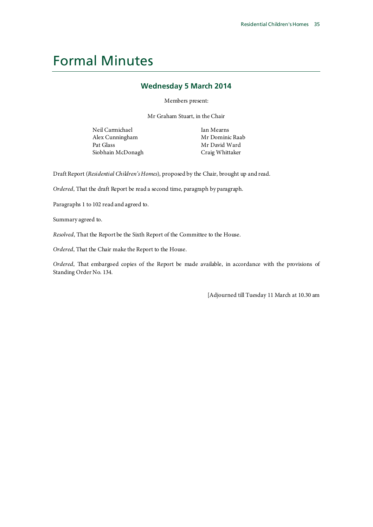### <span id="page-38-0"></span>Formal Minutes

#### **Wednesday 5 March 2014**

Members present:

Mr Graham Stuart, in the Chair

Neil Carmichael Alex Cunningham Pat Glass Siobhain McDonagh Ian Mearns Mr Dominic Raab Mr David Ward Craig Whittaker

Draft Report (*Residential Children's Homes*), proposed by the Chair, brought up and read.

*Ordered*, That the draft Report be read a second time, paragraph by paragraph.

Paragraphs 1 to 102 read and agreed to.

Summary agreed to.

*Resolved*, That the Report be the Sixth Report of the Committee to the House.

*Ordered*, That the Chair make the Report to the House.

*Ordered*, That embargoed copies of the Report be made available, in accordance with the provisions of Standing Order No. 134.

[Adjourned till Tuesday 11 March at 10.30 am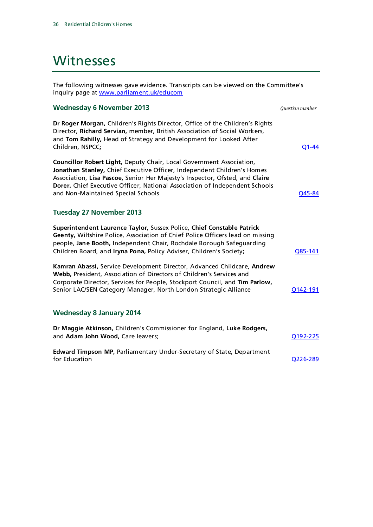### <span id="page-39-0"></span>**Witnesses**

The following witnesses gave evidence. Transcripts can be viewed on the Committee's inquiry page at www.parliament.uk/educom

#### **Wednesday 6 November 2013** *Question number*

**Dr Roger Morgan,** Children's Rights Director, Office of the Children's Rights Director, **Richard Servian,** member, British Association of Social Workers, and **Tom Rahilly,** Head of Strategy and Development for Looked After Children, NSPCC**;** [Q1-44](http://data.parliament.uk/writtenevidence/WrittenEvidence.svc/EvidenceHtml/3485)

**Councillor Robert Light,** Deputy Chair, Local Government Association, **Jonathan Stanley,** Chief Executive Officer, Independent Children's Homes Association, **Lisa Pascoe,** Senior Her Majesty's Inspector, Ofsted, and **Claire Dorer,** Chief Executive Officer, National Association of Independent Schools and Non-Maintained Special Schools and Non-Maintained Special Schools and Dunner and Non-Maintained Special Schools

#### **Tuesday 27 November 2013**

**Superintendent Laurence Taylor,** Sussex Police, **Chief Constable Patrick Geenty,** Wiltshire Police, Association of Chief Police Officers lead on missing people, **Jane Booth,** Independent Chair, Rochdale Borough Safeguarding Children Board, and **Iryna Pona,** Policy Adviser, Children's Society**;** [Q85-141](http://data.parliament.uk/writtenevidence/WrittenEvidence.svc/EvidenceHtml/3963) **Kamran Abassi,** Service Development Director, Advanced Childcare, **Andrew Webb,** President, Association of Directors of Children's Services and Corporate Director, Services for People, Stockport Council, and **Tim Parlow,**  Senior LAC/SEN Category Manager, North London Strategic Alliance **[Q142-191](http://data.parliament.uk/writtenevidence/WrittenEvidence.svc/EvidenceHtml/3963) Wednesday 8 January 2014**

| Dr Maggie Atkinson, Children's Commissioner for England, Luke Rodgers,                        |                       |
|-----------------------------------------------------------------------------------------------|-----------------------|
| and Adam John Wood, Care leavers;                                                             | 0192-225              |
| <b>Edward Timpson MP, Parliamentary Under-Secretary of State, Department</b><br>for Education | O <sub>226</sub> -289 |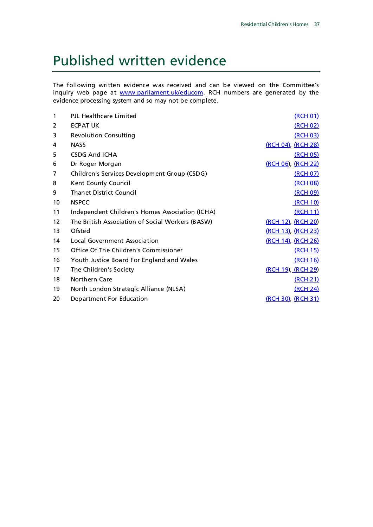### <span id="page-40-0"></span>Published written evidence

The following written evidence was received and can be viewed on the Committee's inquiry web page at [www.parliament.uk/educom.](http://www.parliament.uk/educom) RCH numbers are generated by the evidence processing system and so may not be complete.

| 1  | PJL Healthcare Limited                           | (RCH 01)                   |
|----|--------------------------------------------------|----------------------------|
| 2  | <b>ECPAT UK</b>                                  | (RCH 02)                   |
| 3  | <b>Revolution Consulting</b>                     | (RCH 03)                   |
| 4  | <b>NASS</b>                                      | (RCH 04), (RCH 28)         |
| 5  | <b>CSDG And ICHA</b>                             | <u>(RCH 05)</u>            |
| 6  | Dr Roger Morgan                                  | (RCH 06), (RCH 22)         |
| 7  | Children's Services Development Group (CSDG)     | (RCH 07)                   |
| 8  | Kent County Council                              | (RCH 08)                   |
| 9  | <b>Thanet District Council</b>                   | (RCH 09)                   |
| 10 | <b>NSPCC</b>                                     | (RCH 10)                   |
| 11 | Independent Children's Homes Association (ICHA)  | (RCH 11)                   |
| 12 | The British Association of Social Workers (BASW) | <u>(RCH 12), (RCH 20)</u>  |
| 13 | Ofsted                                           | (RCH 13), (RCH 23)         |
| 14 | Local Government Association                     | <u>(RCH 14)</u> , (RCH 26) |
| 15 | Office Of The Children's Commissioner            | (RCH 15)                   |
| 16 | Youth Justice Board For England and Wales        | (RCH 16)                   |
| 17 | The Children's Society                           | <u>(RCH 19), (RCH 29)</u>  |
| 18 | Northern Care                                    | (RCH 21)                   |
| 19 | North London Strategic Alliance (NLSA)           | (RCH 24)                   |
| 20 | Department For Education                         | (RCH 30) (RCH 31)          |
|    |                                                  |                            |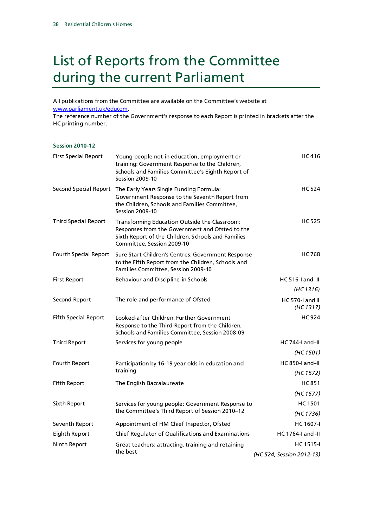### <span id="page-41-0"></span>List of Reports from the Committee during the current Parliament

All publications from the Committee are available on the Committee's website at www.parliament.uk/educom.

The reference number of the Government's response to each Report is printed in brackets after the HC printing number.

| <b>Session 2010-12</b>      |                                                                                                                                                                                            |                                  |
|-----------------------------|--------------------------------------------------------------------------------------------------------------------------------------------------------------------------------------------|----------------------------------|
| <b>First Special Report</b> | Young people not in education, employment or<br>training: Government Response to the Children,<br>Schools and Families Committee's Eighth Report of<br><b>Session 2009-10</b>              | <b>HC416</b>                     |
|                             | Second Special Report The Early Years Single Funding Formula:<br>Government Response to the Seventh Report from<br>the Children, Schools and Families Committee,<br><b>Session 2009-10</b> | <b>HC 524</b>                    |
| <b>Third Special Report</b> | Transforming Education Outside the Classroom:<br>Responses from the Government and Ofsted to the<br>Sixth Report of the Children, Schools and Families<br>Committee, Session 2009-10       | <b>HC 525</b>                    |
| Fourth Special Report       | Sure Start Children's Centres: Government Response<br>to the Fifth Report from the Children, Schools and<br>Families Committee, Session 2009-10                                            | <b>HC768</b>                     |
| <b>First Report</b>         | Behaviour and Discipline in Schools                                                                                                                                                        | $HC 516-I$ and $-II$             |
|                             |                                                                                                                                                                                            | (HC 1316)                        |
| Second Report               | The role and performance of Ofsted                                                                                                                                                         | $HC 570-I$ and $II$<br>(HC 1317) |
| <b>Fifth Special Report</b> | Looked-after Children: Further Government<br>Response to the Third Report from the Children,<br>Schools and Families Committee, Session 2008-09                                            | <b>HC 924</b>                    |
| <b>Third Report</b>         | Services for young people                                                                                                                                                                  | $HC$ 744-I and-II                |
|                             |                                                                                                                                                                                            | (HC 1501)                        |
| Fourth Report               | Participation by 16-19 year olds in education and                                                                                                                                          | $HC 850-I$ and-II                |
|                             | training                                                                                                                                                                                   | (HC 1572)                        |
| <b>Fifth Report</b>         | The English Baccalaureate                                                                                                                                                                  | <b>HC851</b>                     |
|                             |                                                                                                                                                                                            | (HC 1577)                        |
| Sixth Report                | Services for young people: Government Response to                                                                                                                                          | <b>HC1501</b>                    |
|                             | the Committee's Third Report of Session 2010-12                                                                                                                                            | (HC 1736)                        |
| Seventh Report              | Appointment of HM Chief Inspector, Ofsted                                                                                                                                                  | <b>HC1607-I</b>                  |
| <b>Eighth Report</b>        | Chief Regulator of Qualifications and Examinations                                                                                                                                         | HC 1764-I and -II                |
| Ninth Report                | Great teachers: attracting, training and retaining<br>the best                                                                                                                             | HC 1515-I                        |
|                             |                                                                                                                                                                                            | (HC 524, Session 2012-13)        |